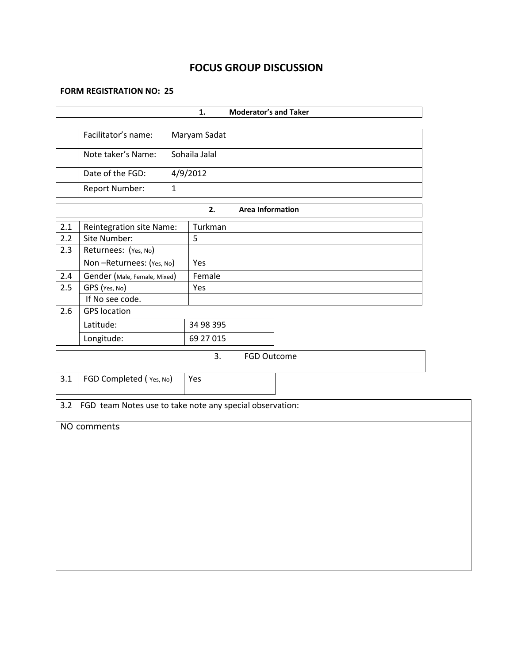# **FOCUS GROUP DISCUSSION**

#### **FORM REGISTRATION NO: 25**

| Facilitator's name:<br>Maryam Sadat<br>Sohaila Jalal<br>Note taker's Name:<br>Date of the FGD:<br>4/9/2012<br>$\mathbf{1}$<br>Report Number:<br>2.<br><b>Area Information</b><br>2.1<br>Reintegration site Name:<br>Turkman<br>2.2<br>5<br>Site Number:<br>2.3<br>Returnees: (Yes, No)<br>Yes<br>Non-Returnees: (Yes, No)<br>Gender (Male, Female, Mixed)<br>Female<br>2.4<br>2.5<br>GPS (Yes, No)<br>Yes<br>If No see code.<br><b>GPS</b> location<br>2.6 |
|------------------------------------------------------------------------------------------------------------------------------------------------------------------------------------------------------------------------------------------------------------------------------------------------------------------------------------------------------------------------------------------------------------------------------------------------------------|
|                                                                                                                                                                                                                                                                                                                                                                                                                                                            |
|                                                                                                                                                                                                                                                                                                                                                                                                                                                            |
|                                                                                                                                                                                                                                                                                                                                                                                                                                                            |
|                                                                                                                                                                                                                                                                                                                                                                                                                                                            |
|                                                                                                                                                                                                                                                                                                                                                                                                                                                            |
|                                                                                                                                                                                                                                                                                                                                                                                                                                                            |
|                                                                                                                                                                                                                                                                                                                                                                                                                                                            |
|                                                                                                                                                                                                                                                                                                                                                                                                                                                            |
|                                                                                                                                                                                                                                                                                                                                                                                                                                                            |
|                                                                                                                                                                                                                                                                                                                                                                                                                                                            |
|                                                                                                                                                                                                                                                                                                                                                                                                                                                            |
|                                                                                                                                                                                                                                                                                                                                                                                                                                                            |
|                                                                                                                                                                                                                                                                                                                                                                                                                                                            |
|                                                                                                                                                                                                                                                                                                                                                                                                                                                            |
| 34 98 395<br>Latitude:                                                                                                                                                                                                                                                                                                                                                                                                                                     |
| 69 27 015<br>Longitude:                                                                                                                                                                                                                                                                                                                                                                                                                                    |
| 3.<br>FGD Outcome                                                                                                                                                                                                                                                                                                                                                                                                                                          |
|                                                                                                                                                                                                                                                                                                                                                                                                                                                            |
| 3.1<br>FGD Completed (Yes, No)<br>Yes                                                                                                                                                                                                                                                                                                                                                                                                                      |
|                                                                                                                                                                                                                                                                                                                                                                                                                                                            |
| FGD team Notes use to take note any special observation:<br>3.2                                                                                                                                                                                                                                                                                                                                                                                            |
|                                                                                                                                                                                                                                                                                                                                                                                                                                                            |
| NO comments                                                                                                                                                                                                                                                                                                                                                                                                                                                |
|                                                                                                                                                                                                                                                                                                                                                                                                                                                            |
|                                                                                                                                                                                                                                                                                                                                                                                                                                                            |
|                                                                                                                                                                                                                                                                                                                                                                                                                                                            |
|                                                                                                                                                                                                                                                                                                                                                                                                                                                            |
|                                                                                                                                                                                                                                                                                                                                                                                                                                                            |
|                                                                                                                                                                                                                                                                                                                                                                                                                                                            |
|                                                                                                                                                                                                                                                                                                                                                                                                                                                            |
|                                                                                                                                                                                                                                                                                                                                                                                                                                                            |
|                                                                                                                                                                                                                                                                                                                                                                                                                                                            |
|                                                                                                                                                                                                                                                                                                                                                                                                                                                            |
|                                                                                                                                                                                                                                                                                                                                                                                                                                                            |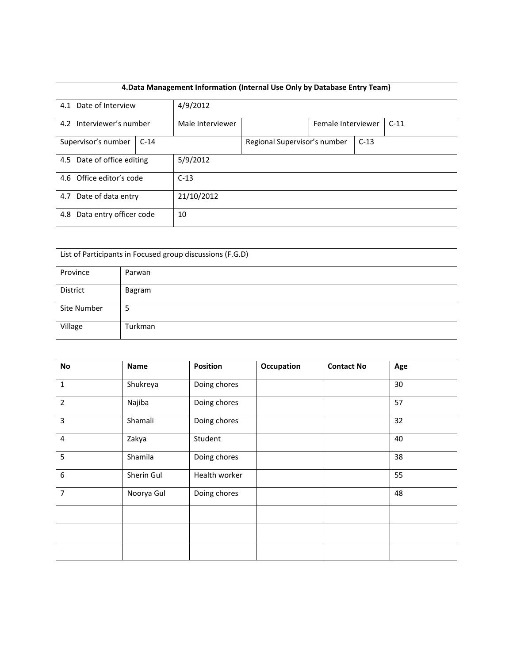| 4. Data Management Information (Internal Use Only by Database Entry Team) |        |                  |                              |  |        |  |  |  |
|---------------------------------------------------------------------------|--------|------------------|------------------------------|--|--------|--|--|--|
|                                                                           |        |                  |                              |  |        |  |  |  |
| 4.1 Date of Interview                                                     |        | 4/9/2012         |                              |  |        |  |  |  |
| 4.2 Interviewer's number                                                  |        | Male Interviewer | Female Interviewer           |  | $C-11$ |  |  |  |
|                                                                           |        |                  |                              |  |        |  |  |  |
| Supervisor's number                                                       | $C-14$ |                  | Regional Supervisor's number |  | $C-13$ |  |  |  |
|                                                                           |        |                  |                              |  |        |  |  |  |
| 4.5 Date of office editing                                                |        | 5/9/2012         |                              |  |        |  |  |  |
|                                                                           |        |                  |                              |  |        |  |  |  |
| 4.6 Office editor's code                                                  |        | $C-13$           |                              |  |        |  |  |  |
|                                                                           |        |                  |                              |  |        |  |  |  |
| 4.7 Date of data entry                                                    |        | 21/10/2012       |                              |  |        |  |  |  |
|                                                                           |        |                  |                              |  |        |  |  |  |
| 4.8 Data entry officer code                                               |        | 10               |                              |  |        |  |  |  |
|                                                                           |        |                  |                              |  |        |  |  |  |

| List of Participants in Focused group discussions (F.G.D) |         |  |  |  |  |
|-----------------------------------------------------------|---------|--|--|--|--|
| Province                                                  | Parwan  |  |  |  |  |
| District                                                  | Bagram  |  |  |  |  |
| Site Number                                               | 5       |  |  |  |  |
| Village                                                   | Turkman |  |  |  |  |

| <b>No</b>        | <b>Name</b> | Position      | Occupation | <b>Contact No</b> | Age |
|------------------|-------------|---------------|------------|-------------------|-----|
| $\mathbf{1}$     | Shukreya    | Doing chores  |            |                   | 30  |
| $\overline{2}$   | Najiba      | Doing chores  |            |                   | 57  |
| 3                | Shamali     | Doing chores  |            |                   | 32  |
| $\overline{4}$   | Zakya       | Student       |            |                   | 40  |
| 5                | Shamila     | Doing chores  |            |                   | 38  |
| $\boldsymbol{6}$ | Sherin Gul  | Health worker |            |                   | 55  |
| 7                | Noorya Gul  | Doing chores  |            |                   | 48  |
|                  |             |               |            |                   |     |
|                  |             |               |            |                   |     |
|                  |             |               |            |                   |     |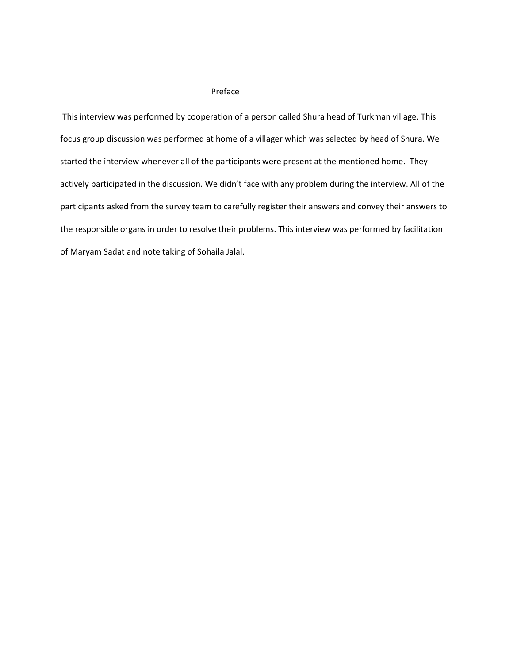#### Preface

This interview was performed by cooperation of a person called Shura head of Turkman village. This focus group discussion was performed at home of a villager which was selected by head of Shura. We started the interview whenever all of the participants were present at the mentioned home. They actively participated in the discussion. We didn't face with any problem during the interview. All of the participants asked from the survey team to carefully register their answers and convey their answers to the responsible organs in order to resolve their problems. This interview was performed by facilitation of Maryam Sadat and note taking of Sohaila Jalal.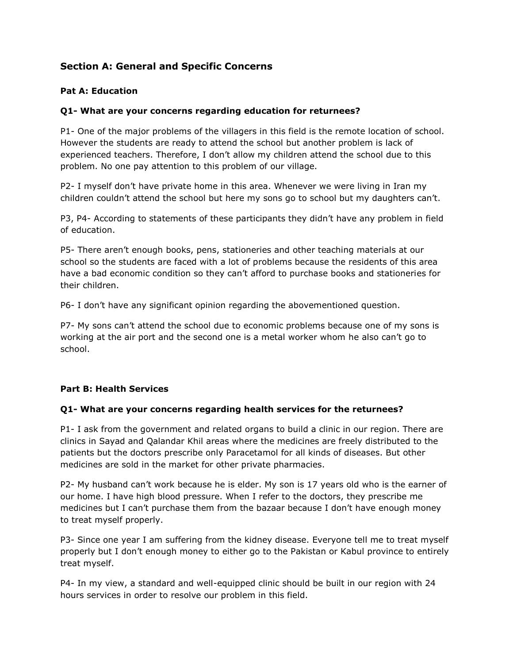# **Section A: General and Specific Concerns**

## **Pat A: Education**

## **Q1- What are your concerns regarding education for returnees?**

P1- One of the major problems of the villagers in this field is the remote location of school. However the students are ready to attend the school but another problem is lack of experienced teachers. Therefore, I don't allow my children attend the school due to this problem. No one pay attention to this problem of our village.

P2- I myself don't have private home in this area. Whenever we were living in Iran my children couldn't attend the school but here my sons go to school but my daughters can't.

P3, P4- According to statements of these participants they didn't have any problem in field of education.

P5- There aren't enough books, pens, stationeries and other teaching materials at our school so the students are faced with a lot of problems because the residents of this area have a bad economic condition so they can't afford to purchase books and stationeries for their children.

P6- I don't have any significant opinion regarding the abovementioned question.

P7- My sons can't attend the school due to economic problems because one of my sons is working at the air port and the second one is a metal worker whom he also can't go to school.

## **Part B: Health Services**

## **Q1- What are your concerns regarding health services for the returnees?**

P1- I ask from the government and related organs to build a clinic in our region. There are clinics in Sayad and Qalandar Khil areas where the medicines are freely distributed to the patients but the doctors prescribe only Paracetamol for all kinds of diseases. But other medicines are sold in the market for other private pharmacies.

P2- My husband can't work because he is elder. My son is 17 years old who is the earner of our home. I have high blood pressure. When I refer to the doctors, they prescribe me medicines but I can't purchase them from the bazaar because I don't have enough money to treat myself properly.

P3- Since one year I am suffering from the kidney disease. Everyone tell me to treat myself properly but I don't enough money to either go to the Pakistan or Kabul province to entirely treat myself.

P4- In my view, a standard and well-equipped clinic should be built in our region with 24 hours services in order to resolve our problem in this field.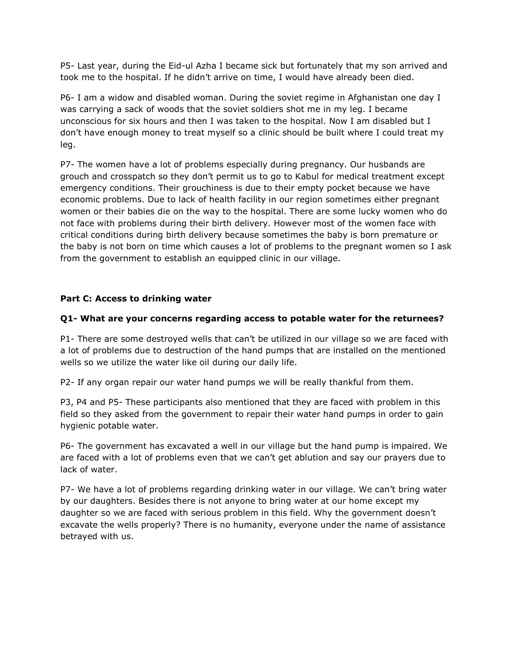P5- Last year, during the Eid-ul Azha I became sick but fortunately that my son arrived and took me to the hospital. If he didn't arrive on time, I would have already been died.

P6- I am a widow and disabled woman. During the soviet regime in Afghanistan one day I was carrying a sack of woods that the soviet soldiers shot me in my leg. I became unconscious for six hours and then I was taken to the hospital. Now I am disabled but I don't have enough money to treat myself so a clinic should be built where I could treat my leg.

P7- The women have a lot of problems especially during pregnancy. Our husbands are grouch and crosspatch so they don't permit us to go to Kabul for medical treatment except emergency conditions. Their grouchiness is due to their empty pocket because we have economic problems. Due to lack of health facility in our region sometimes either pregnant women or their babies die on the way to the hospital. There are some lucky women who do not face with problems during their birth delivery. However most of the women face with critical conditions during birth delivery because sometimes the baby is born premature or the baby is not born on time which causes a lot of problems to the pregnant women so I ask from the government to establish an equipped clinic in our village.

## **Part C: Access to drinking water**

## **Q1- What are your concerns regarding access to potable water for the returnees?**

P1- There are some destroyed wells that can't be utilized in our village so we are faced with a lot of problems due to destruction of the hand pumps that are installed on the mentioned wells so we utilize the water like oil during our daily life.

P2- If any organ repair our water hand pumps we will be really thankful from them.

P3, P4 and P5- These participants also mentioned that they are faced with problem in this field so they asked from the government to repair their water hand pumps in order to gain hygienic potable water.

P6- The government has excavated a well in our village but the hand pump is impaired. We are faced with a lot of problems even that we can't get ablution and say our prayers due to lack of water.

P7- We have a lot of problems regarding drinking water in our village. We can't bring water by our daughters. Besides there is not anyone to bring water at our home except my daughter so we are faced with serious problem in this field. Why the government doesn't excavate the wells properly? There is no humanity, everyone under the name of assistance betrayed with us.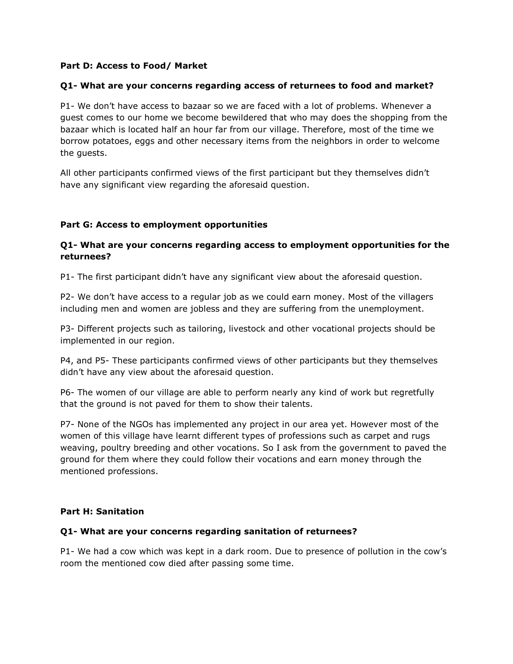## **Part D: Access to Food/ Market**

## **Q1- What are your concerns regarding access of returnees to food and market?**

P1- We don't have access to bazaar so we are faced with a lot of problems. Whenever a guest comes to our home we become bewildered that who may does the shopping from the bazaar which is located half an hour far from our village. Therefore, most of the time we borrow potatoes, eggs and other necessary items from the neighbors in order to welcome the guests.

All other participants confirmed views of the first participant but they themselves didn't have any significant view regarding the aforesaid question.

## **Part G: Access to employment opportunities**

## **Q1- What are your concerns regarding access to employment opportunities for the returnees?**

P1- The first participant didn't have any significant view about the aforesaid question.

P2- We don't have access to a regular job as we could earn money. Most of the villagers including men and women are jobless and they are suffering from the unemployment.

P3- Different projects such as tailoring, livestock and other vocational projects should be implemented in our region.

P4, and P5- These participants confirmed views of other participants but they themselves didn't have any view about the aforesaid question.

P6- The women of our village are able to perform nearly any kind of work but regretfully that the ground is not paved for them to show their talents.

P7- None of the NGOs has implemented any project in our area yet. However most of the women of this village have learnt different types of professions such as carpet and rugs weaving, poultry breeding and other vocations. So I ask from the government to paved the ground for them where they could follow their vocations and earn money through the mentioned professions.

## **Part H: Sanitation**

#### **Q1- What are your concerns regarding sanitation of returnees?**

P1- We had a cow which was kept in a dark room. Due to presence of pollution in the cow's room the mentioned cow died after passing some time.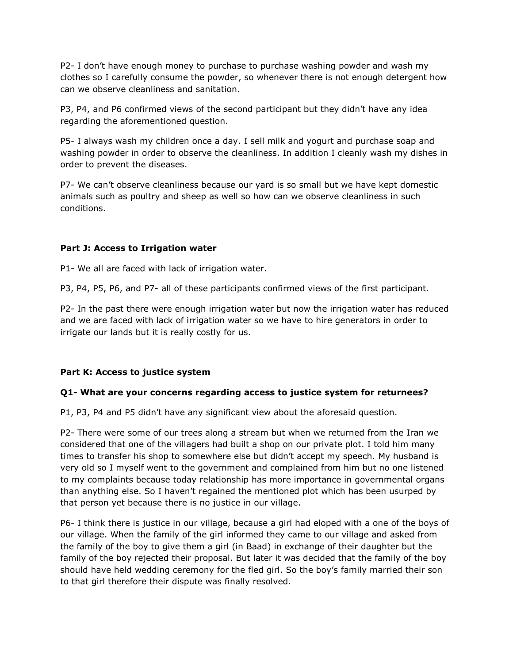P2- I don't have enough money to purchase to purchase washing powder and wash my clothes so I carefully consume the powder, so whenever there is not enough detergent how can we observe cleanliness and sanitation.

P3, P4, and P6 confirmed views of the second participant but they didn't have any idea regarding the aforementioned question.

P5- I always wash my children once a day. I sell milk and yogurt and purchase soap and washing powder in order to observe the cleanliness. In addition I cleanly wash my dishes in order to prevent the diseases.

P7- We can't observe cleanliness because our yard is so small but we have kept domestic animals such as poultry and sheep as well so how can we observe cleanliness in such conditions.

## **Part J: Access to Irrigation water**

P1- We all are faced with lack of irrigation water.

P3, P4, P5, P6, and P7- all of these participants confirmed views of the first participant.

P2- In the past there were enough irrigation water but now the irrigation water has reduced and we are faced with lack of irrigation water so we have to hire generators in order to irrigate our lands but it is really costly for us.

## **Part K: Access to justice system**

## **Q1- What are your concerns regarding access to justice system for returnees?**

P1, P3, P4 and P5 didn't have any significant view about the aforesaid question.

P2- There were some of our trees along a stream but when we returned from the Iran we considered that one of the villagers had built a shop on our private plot. I told him many times to transfer his shop to somewhere else but didn't accept my speech. My husband is very old so I myself went to the government and complained from him but no one listened to my complaints because today relationship has more importance in governmental organs than anything else. So I haven't regained the mentioned plot which has been usurped by that person yet because there is no justice in our village.

P6- I think there is justice in our village, because a girl had eloped with a one of the boys of our village. When the family of the girl informed they came to our village and asked from the family of the boy to give them a girl (in Baad) in exchange of their daughter but the family of the boy rejected their proposal. But later it was decided that the family of the boy should have held wedding ceremony for the fled girl. So the boy's family married their son to that girl therefore their dispute was finally resolved.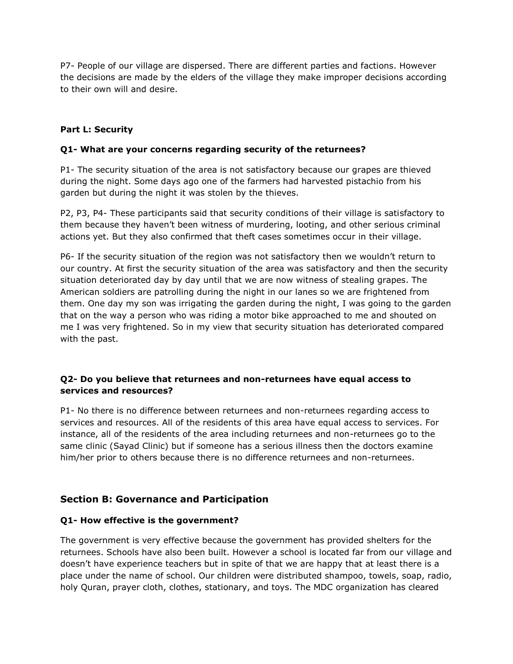P7- People of our village are dispersed. There are different parties and factions. However the decisions are made by the elders of the village they make improper decisions according to their own will and desire.

## **Part L: Security**

#### **Q1- What are your concerns regarding security of the returnees?**

P1- The security situation of the area is not satisfactory because our grapes are thieved during the night. Some days ago one of the farmers had harvested pistachio from his garden but during the night it was stolen by the thieves.

P2, P3, P4- These participants said that security conditions of their village is satisfactory to them because they haven't been witness of murdering, looting, and other serious criminal actions yet. But they also confirmed that theft cases sometimes occur in their village.

P6- If the security situation of the region was not satisfactory then we wouldn't return to our country. At first the security situation of the area was satisfactory and then the security situation deteriorated day by day until that we are now witness of stealing grapes. The American soldiers are patrolling during the night in our lanes so we are frightened from them. One day my son was irrigating the garden during the night, I was going to the garden that on the way a person who was riding a motor bike approached to me and shouted on me I was very frightened. So in my view that security situation has deteriorated compared with the past.

## **Q2- Do you believe that returnees and non-returnees have equal access to services and resources?**

P1- No there is no difference between returnees and non-returnees regarding access to services and resources. All of the residents of this area have equal access to services. For instance, all of the residents of the area including returnees and non-returnees go to the same clinic (Sayad Clinic) but if someone has a serious illness then the doctors examine him/her prior to others because there is no difference returnees and non-returnees.

# **Section B: Governance and Participation**

#### **Q1- How effective is the government?**

The government is very effective because the government has provided shelters for the returnees. Schools have also been built. However a school is located far from our village and doesn't have experience teachers but in spite of that we are happy that at least there is a place under the name of school. Our children were distributed shampoo, towels, soap, radio, holy Quran, prayer cloth, clothes, stationary, and toys. The MDC organization has cleared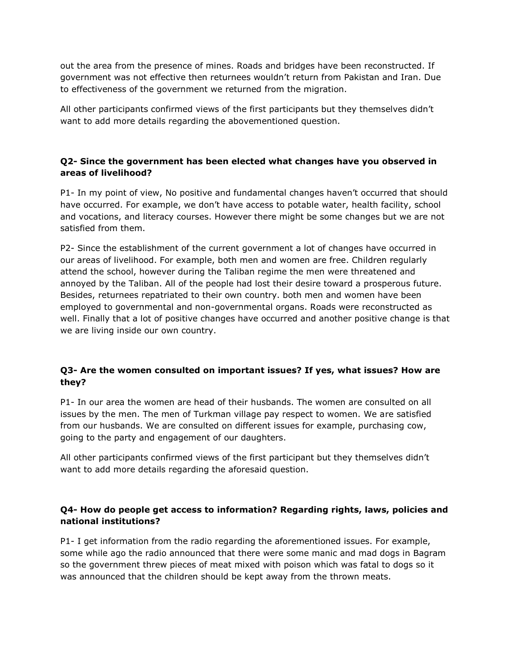out the area from the presence of mines. Roads and bridges have been reconstructed. If government was not effective then returnees wouldn't return from Pakistan and Iran. Due to effectiveness of the government we returned from the migration.

All other participants confirmed views of the first participants but they themselves didn't want to add more details regarding the abovementioned question.

## **Q2- Since the government has been elected what changes have you observed in areas of livelihood?**

P1- In my point of view, No positive and fundamental changes haven't occurred that should have occurred. For example, we don't have access to potable water, health facility, school and vocations, and literacy courses. However there might be some changes but we are not satisfied from them.

P2- Since the establishment of the current government a lot of changes have occurred in our areas of livelihood. For example, both men and women are free. Children regularly attend the school, however during the Taliban regime the men were threatened and annoyed by the Taliban. All of the people had lost their desire toward a prosperous future. Besides, returnees repatriated to their own country. both men and women have been employed to governmental and non-governmental organs. Roads were reconstructed as well. Finally that a lot of positive changes have occurred and another positive change is that we are living inside our own country.

# **Q3- Are the women consulted on important issues? If yes, what issues? How are they?**

P1- In our area the women are head of their husbands. The women are consulted on all issues by the men. The men of Turkman village pay respect to women. We are satisfied from our husbands. We are consulted on different issues for example, purchasing cow, going to the party and engagement of our daughters.

All other participants confirmed views of the first participant but they themselves didn't want to add more details regarding the aforesaid question.

# **Q4- How do people get access to information? Regarding rights, laws, policies and national institutions?**

P1- I get information from the radio regarding the aforementioned issues. For example, some while ago the radio announced that there were some manic and mad dogs in Bagram so the government threw pieces of meat mixed with poison which was fatal to dogs so it was announced that the children should be kept away from the thrown meats.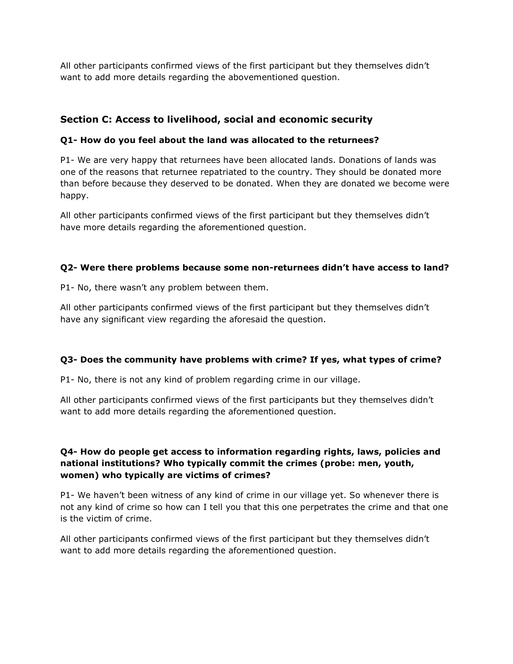All other participants confirmed views of the first participant but they themselves didn't want to add more details regarding the abovementioned question.

# **Section C: Access to livelihood, social and economic security**

## **Q1- How do you feel about the land was allocated to the returnees?**

P1- We are very happy that returnees have been allocated lands. Donations of lands was one of the reasons that returnee repatriated to the country. They should be donated more than before because they deserved to be donated. When they are donated we become were happy.

All other participants confirmed views of the first participant but they themselves didn't have more details regarding the aforementioned question.

## **Q2- Were there problems because some non-returnees didn't have access to land?**

P1- No, there wasn't any problem between them.

All other participants confirmed views of the first participant but they themselves didn't have any significant view regarding the aforesaid the question.

## **Q3- Does the community have problems with crime? If yes, what types of crime?**

P1- No, there is not any kind of problem regarding crime in our village.

All other participants confirmed views of the first participants but they themselves didn't want to add more details regarding the aforementioned question.

## **Q4- How do people get access to information regarding rights, laws, policies and national institutions? Who typically commit the crimes (probe: men, youth, women) who typically are victims of crimes?**

P1- We haven't been witness of any kind of crime in our village yet. So whenever there is not any kind of crime so how can I tell you that this one perpetrates the crime and that one is the victim of crime.

All other participants confirmed views of the first participant but they themselves didn't want to add more details regarding the aforementioned question.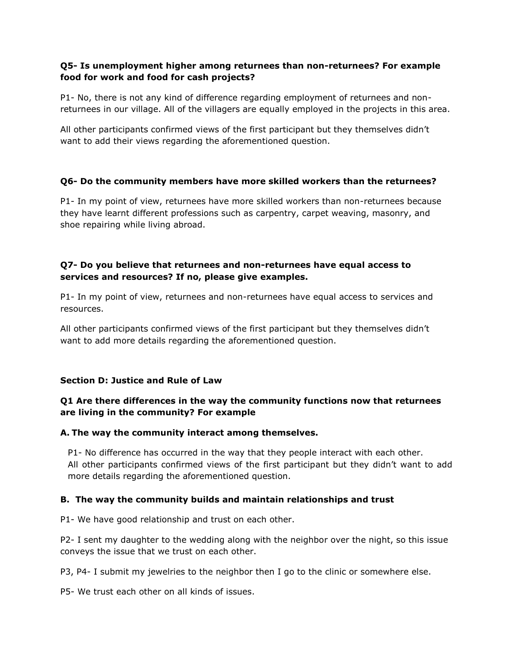## **Q5- Is unemployment higher among returnees than non-returnees? For example food for work and food for cash projects?**

P1- No, there is not any kind of difference regarding employment of returnees and nonreturnees in our village. All of the villagers are equally employed in the projects in this area.

All other participants confirmed views of the first participant but they themselves didn't want to add their views regarding the aforementioned question.

## **Q6- Do the community members have more skilled workers than the returnees?**

P1- In my point of view, returnees have more skilled workers than non-returnees because they have learnt different professions such as carpentry, carpet weaving, masonry, and shoe repairing while living abroad.

## **Q7- Do you believe that returnees and non-returnees have equal access to services and resources? If no, please give examples.**

P1- In my point of view, returnees and non-returnees have equal access to services and resources.

All other participants confirmed views of the first participant but they themselves didn't want to add more details regarding the aforementioned question.

# **Section D: Justice and Rule of Law**

## **Q1 Are there differences in the way the community functions now that returnees are living in the community? For example**

## **A. The way the community interact among themselves.**

P1- No difference has occurred in the way that they people interact with each other. All other participants confirmed views of the first participant but they didn't want to add more details regarding the aforementioned question.

## **B. The way the community builds and maintain relationships and trust**

P1- We have good relationship and trust on each other.

P2- I sent my daughter to the wedding along with the neighbor over the night, so this issue conveys the issue that we trust on each other.

P3, P4- I submit my jewelries to the neighbor then I go to the clinic or somewhere else.

P5- We trust each other on all kinds of issues.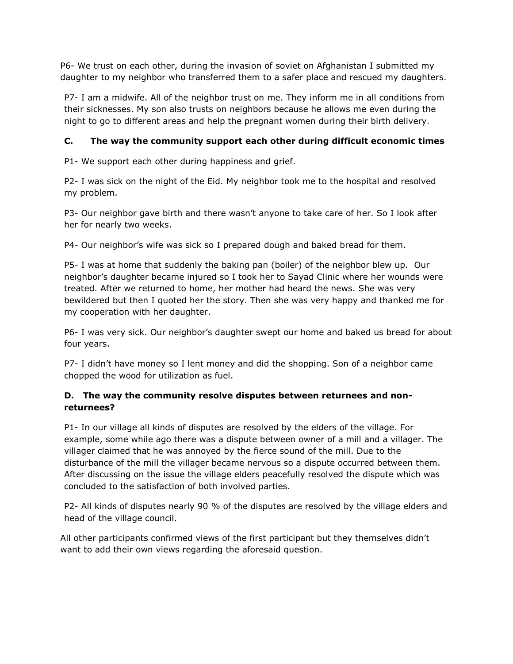P6- We trust on each other, during the invasion of soviet on Afghanistan I submitted my daughter to my neighbor who transferred them to a safer place and rescued my daughters.

P7- I am a midwife. All of the neighbor trust on me. They inform me in all conditions from their sicknesses. My son also trusts on neighbors because he allows me even during the night to go to different areas and help the pregnant women during their birth delivery.

# **C. The way the community support each other during difficult economic times**

P1- We support each other during happiness and grief.

P2- I was sick on the night of the Eid. My neighbor took me to the hospital and resolved my problem.

P3- Our neighbor gave birth and there wasn't anyone to take care of her. So I look after her for nearly two weeks.

P4- Our neighbor's wife was sick so I prepared dough and baked bread for them.

P5- I was at home that suddenly the baking pan (boiler) of the neighbor blew up. Our neighbor's daughter became injured so I took her to Sayad Clinic where her wounds were treated. After we returned to home, her mother had heard the news. She was very bewildered but then I quoted her the story. Then she was very happy and thanked me for my cooperation with her daughter.

P6- I was very sick. Our neighbor's daughter swept our home and baked us bread for about four years.

P7- I didn't have money so I lent money and did the shopping. Son of a neighbor came chopped the wood for utilization as fuel.

# **D. The way the community resolve disputes between returnees and nonreturnees?**

P1- In our village all kinds of disputes are resolved by the elders of the village. For example, some while ago there was a dispute between owner of a mill and a villager. The villager claimed that he was annoyed by the fierce sound of the mill. Due to the disturbance of the mill the villager became nervous so a dispute occurred between them. After discussing on the issue the village elders peacefully resolved the dispute which was concluded to the satisfaction of both involved parties.

P2- All kinds of disputes nearly 90 % of the disputes are resolved by the village elders and head of the village council.

All other participants confirmed views of the first participant but they themselves didn't want to add their own views regarding the aforesaid question.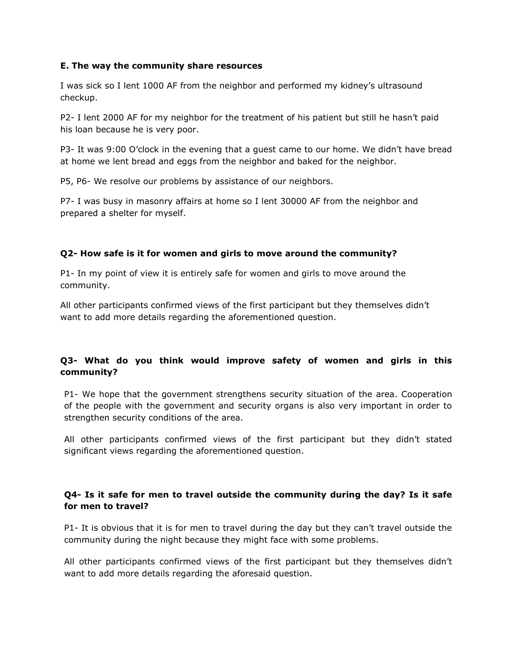#### **E. The way the community share resources**

I was sick so I lent 1000 AF from the neighbor and performed my kidney's ultrasound checkup.

P2- I lent 2000 AF for my neighbor for the treatment of his patient but still he hasn't paid his loan because he is very poor.

P3- It was 9:00 O'clock in the evening that a guest came to our home. We didn't have bread at home we lent bread and eggs from the neighbor and baked for the neighbor.

P5, P6- We resolve our problems by assistance of our neighbors.

P7- I was busy in masonry affairs at home so I lent 30000 AF from the neighbor and prepared a shelter for myself.

## **Q2- How safe is it for women and girls to move around the community?**

P1- In my point of view it is entirely safe for women and girls to move around the community.

All other participants confirmed views of the first participant but they themselves didn't want to add more details regarding the aforementioned question.

# **Q3- What do you think would improve safety of women and girls in this community?**

P1- We hope that the government strengthens security situation of the area. Cooperation of the people with the government and security organs is also very important in order to strengthen security conditions of the area.

All other participants confirmed views of the first participant but they didn't stated significant views regarding the aforementioned question.

## **Q4- Is it safe for men to travel outside the community during the day? Is it safe for men to travel?**

P1- It is obvious that it is for men to travel during the day but they can't travel outside the community during the night because they might face with some problems.

All other participants confirmed views of the first participant but they themselves didn't want to add more details regarding the aforesaid question.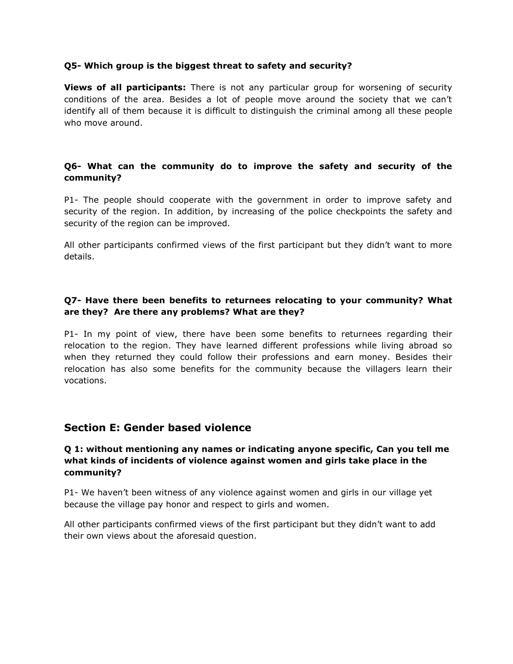#### **Q5- Which group is the biggest threat to safety and security?**

**Views of all participants:** There is not any particular group for worsening of security conditions of the area. Besides a lot of people move around the society that we can't identify all of them because it is difficult to distinguish the criminal among all these people who move around.

## **Q6- What can the community do to improve the safety and security of the community?**

P1- The people should cooperate with the government in order to improve safety and security of the region. In addition, by increasing of the police checkpoints the safety and security of the region can be improved.

All other participants confirmed views of the first participant but they didn't want to more details.

## **Q7- Have there been benefits to returnees relocating to your community? What are they? Are there any problems? What are they?**

P1- In my point of view, there have been some benefits to returnees regarding their relocation to the region. They have learned different professions while living abroad so when they returned they could follow their professions and earn money. Besides their relocation has also some benefits for the community because the villagers learn their vocations.

# **Section E: Gender based violence**

## **Q 1: without mentioning any names or indicating anyone specific, Can you tell me what kinds of incidents of violence against women and girls take place in the community?**

P1- We haven't been witness of any violence against women and girls in our village yet because the village pay honor and respect to girls and women.

All other participants confirmed views of the first participant but they didn't want to add their own views about the aforesaid question.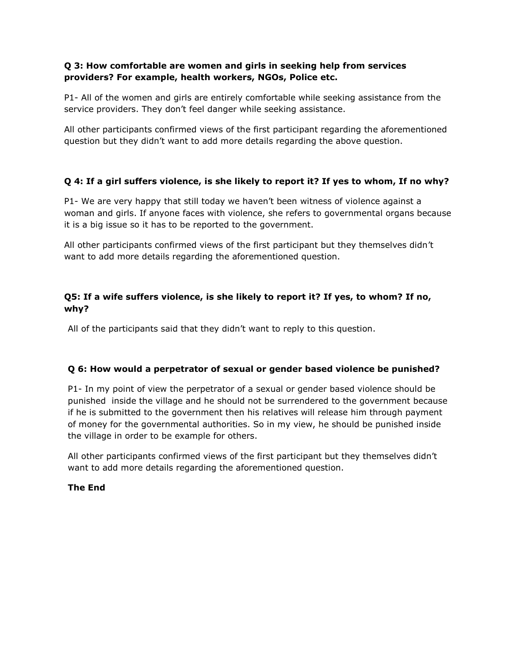## **Q 3: How comfortable are women and girls in seeking help from services providers? For example, health workers, NGOs, Police etc.**

P1- All of the women and girls are entirely comfortable while seeking assistance from the service providers. They don't feel danger while seeking assistance.

All other participants confirmed views of the first participant regarding the aforementioned question but they didn't want to add more details regarding the above question.

# **Q 4: If a girl suffers violence, is she likely to report it? If yes to whom, If no why?**

P1- We are very happy that still today we haven't been witness of violence against a woman and girls. If anyone faces with violence, she refers to governmental organs because it is a big issue so it has to be reported to the government.

All other participants confirmed views of the first participant but they themselves didn't want to add more details regarding the aforementioned question.

# **Q5: If a wife suffers violence, is she likely to report it? If yes, to whom? If no, why?**

All of the participants said that they didn't want to reply to this question.

# **Q 6: How would a perpetrator of sexual or gender based violence be punished?**

P1- In my point of view the perpetrator of a sexual or gender based violence should be punished inside the village and he should not be surrendered to the government because if he is submitted to the government then his relatives will release him through payment of money for the governmental authorities. So in my view, he should be punished inside the village in order to be example for others.

All other participants confirmed views of the first participant but they themselves didn't want to add more details regarding the aforementioned question.

## **The End**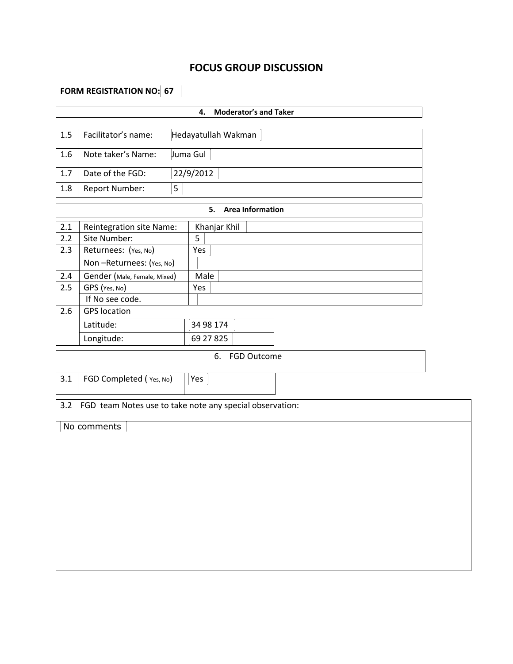# **FOCUS GROUP DISCUSSION**

# **FORM REGISTRATION NO: 67**

|         |                              | <b>Moderator's and Taker</b><br>4. |                                                          |  |  |  |  |  |  |
|---------|------------------------------|------------------------------------|----------------------------------------------------------|--|--|--|--|--|--|
|         |                              |                                    |                                                          |  |  |  |  |  |  |
| $1.5\,$ | Facilitator's name:          |                                    | Hedayatullah Wakman                                      |  |  |  |  |  |  |
| 1.6     | Note taker's Name:           |                                    | Juma Gul                                                 |  |  |  |  |  |  |
| 1.7     | Date of the FGD:             |                                    | 22/9/2012                                                |  |  |  |  |  |  |
| 1.8     | Report Number:               | $\mathsf S$                        |                                                          |  |  |  |  |  |  |
|         |                              |                                    | <b>Area Information</b><br>5.                            |  |  |  |  |  |  |
| $2.1$   | Reintegration site Name:     |                                    | Khanjar Khil                                             |  |  |  |  |  |  |
| 2.2     | Site Number:                 |                                    | 5                                                        |  |  |  |  |  |  |
| 2.3     | Returnees: (Yes, No)         |                                    | Yes                                                      |  |  |  |  |  |  |
|         | Non-Returnees: (Yes, No)     |                                    |                                                          |  |  |  |  |  |  |
| $2.4$   | Gender (Male, Female, Mixed) |                                    | Male                                                     |  |  |  |  |  |  |
| 2.5     | GPS (Yes, No)                |                                    | Yes                                                      |  |  |  |  |  |  |
|         | If No see code.              |                                    |                                                          |  |  |  |  |  |  |
| 2.6     | <b>GPS</b> location          |                                    |                                                          |  |  |  |  |  |  |
|         | Latitude:                    |                                    | 34 98 174                                                |  |  |  |  |  |  |
|         | Longitude:                   |                                    | 69 27 8 25                                               |  |  |  |  |  |  |
|         |                              |                                    | 6.<br><b>FGD Outcome</b>                                 |  |  |  |  |  |  |
|         |                              |                                    |                                                          |  |  |  |  |  |  |
| 3.1     | FGD Completed (Yes, No)      |                                    | Yes                                                      |  |  |  |  |  |  |
|         |                              |                                    |                                                          |  |  |  |  |  |  |
| 3.2     |                              |                                    | FGD team Notes use to take note any special observation: |  |  |  |  |  |  |
|         | No comments                  |                                    |                                                          |  |  |  |  |  |  |
|         |                              |                                    |                                                          |  |  |  |  |  |  |
|         |                              |                                    |                                                          |  |  |  |  |  |  |
|         |                              |                                    |                                                          |  |  |  |  |  |  |
|         |                              |                                    |                                                          |  |  |  |  |  |  |
|         |                              |                                    |                                                          |  |  |  |  |  |  |
|         |                              |                                    |                                                          |  |  |  |  |  |  |
|         |                              |                                    |                                                          |  |  |  |  |  |  |
|         |                              |                                    |                                                          |  |  |  |  |  |  |
|         |                              |                                    |                                                          |  |  |  |  |  |  |
|         |                              |                                    |                                                          |  |  |  |  |  |  |
|         |                              |                                    |                                                          |  |  |  |  |  |  |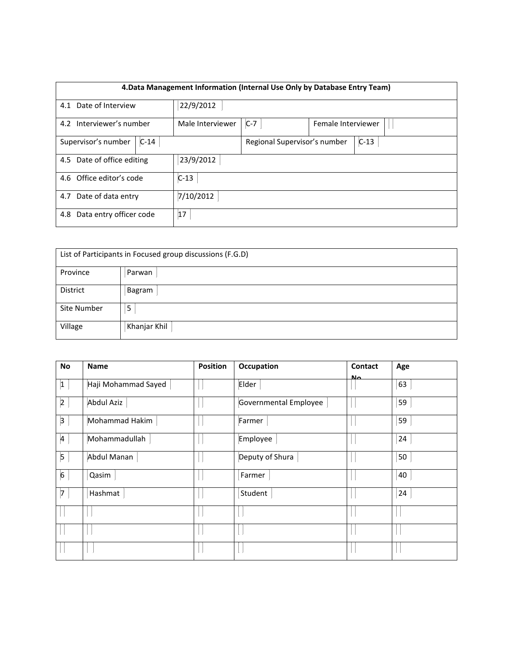| 4. Data Management Information (Internal Use Only by Database Entry Team) |        |                  |                              |                    |        |  |  |
|---------------------------------------------------------------------------|--------|------------------|------------------------------|--------------------|--------|--|--|
| 4.1 Date of Interview                                                     |        | 22/9/2012        |                              |                    |        |  |  |
| 4.2 Interviewer's number                                                  |        | Male Interviewer | $C-7$                        | Female Interviewer |        |  |  |
| Supervisor's number                                                       | $C-14$ |                  | Regional Supervisor's number |                    | $C-13$ |  |  |
| 23/9/2012<br>4.5 Date of office editing                                   |        |                  |                              |                    |        |  |  |
| 4.6 Office editor's code<br>$C-13$                                        |        |                  |                              |                    |        |  |  |
| 7/10/2012<br>4.7 Date of data entry                                       |        |                  |                              |                    |        |  |  |
| Data entry officer code<br>4.8                                            |        | 17               |                              |                    |        |  |  |

|             | List of Participants in Focused group discussions (F.G.D) |
|-------------|-----------------------------------------------------------|
| Province    | Parwan                                                    |
| District    | Bagram                                                    |
| Site Number | 5                                                         |
| Village     | Khanjar Khil                                              |

| No                      | <b>Name</b>         | <b>Position</b> | Occupation            | Contact | Age |
|-------------------------|---------------------|-----------------|-----------------------|---------|-----|
| 1                       | Haji Mohammad Sayed |                 | Elder                 | مالا    | 63  |
| $ 2\rangle$             | <b>Abdul Aziz</b>   |                 | Governmental Employee |         | 59  |
| $\vert 3 \vert$         | Mohammad Hakim      |                 | Farmer                |         | 59  |
| $\overline{a}$          | Mohammadullah       |                 | Employee              |         | 24  |
| $\overline{\mathbf{5}}$ | Abdul Manan         |                 | Deputy of Shura       |         | 50  |
| $6\overline{6}$         | Qasim               |                 | Farmer                |         | 40  |
| 7                       | Hashmat             |                 | Student               |         | 24  |
|                         |                     |                 |                       |         |     |
|                         |                     |                 |                       |         |     |
|                         |                     |                 |                       |         |     |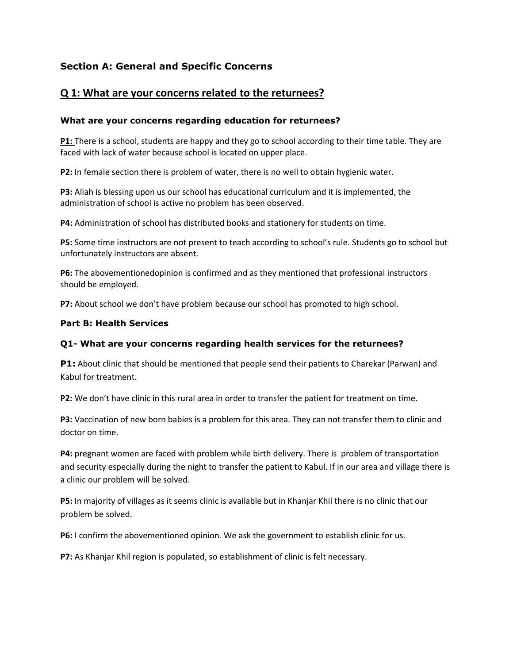# **Section A: General and Specific Concerns**

# **Q 1: What are your concerns related to the returnees?**

## **What are your concerns regarding education for returnees?**

**P1:** There is a school, students are happy and they go to school according to their time table. They are faced with lack of water because school is located on upper place.

**P2:** In female section there is problem of water, there is no well to obtain hygienic water.

**P3:** Allah is blessing upon us our school has educational curriculum and it is implemented, the administration of school is active no problem has been observed.

**P4:** Administration of school has distributed books and stationery for students on time.

**P5:** Some time instructors are not present to teach according to school's rule. Students go to school but unfortunately instructors are absent.

**P6:** The abovementionedopinion is confirmed and as they mentioned that professional instructors should be employed.

**P7:** About school we don't have problem because our school has promoted to high school.

## **Part B: Health Services**

## **Q1- What are your concerns regarding health services for the returnees?**

**P1:** About clinic that should be mentioned that people send their patients to Charekar (Parwan) and Kabul for treatment.

**P2:** We don't have clinic in this rural area in order to transfer the patient for treatment on time.

**P3:** Vaccination of new born babies is a problem for this area. They can not transfer them to clinic and doctor on time.

**P4:** pregnant women are faced with problem while birth delivery. There is problem of transportation and security especially during the night to transfer the patient to Kabul. If in our area and village there is a clinic our problem will be solved.

**P5:** In majority of villages as it seems clinic is available but in Khanjar Khil there is no clinic that our problem be solved.

**P6:** I confirm the abovementioned opinion. We ask the government to establish clinic for us.

**P7:** As Khanjar Khil region is populated, so establishment of clinic is felt necessary.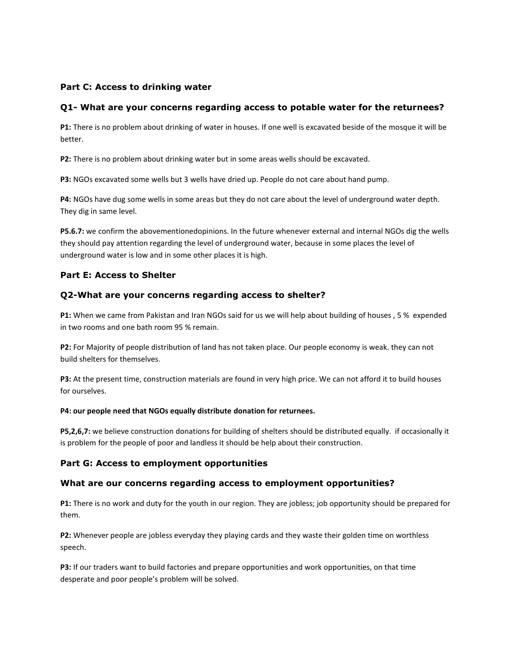#### **Part C: Access to drinking water**

#### **Q1- What are your concerns regarding access to potable water for the returnees?**

**P1:** There is no problem about drinking of water in houses. If one well is excavated beside of the mosque it will be better.

**P2:** There is no problem about drinking water but in some areas wells should be excavated.

**P3:** NGOs excavated some wells but 3 wells have dried up. People do not care about hand pump.

**P4:** NGOs have dug some wells in some areas but they do not care about the level of underground water depth. They dig in same level.

**P5.6.7:** we confirm the abovementionedopinions. In the future whenever external and internal NGOs dig the wells they should pay attention regarding the level of underground water, because in some places the level of underground water is low and in some other places it is high.

#### **Part E: Access to Shelter**

#### **Q2-What are your concerns regarding access to shelter?**

**P1:** When we came from Pakistan and Iran NGOs said for us we will help about building of houses , 5 % expended in two rooms and one bath room 95 % remain.

**P2:** For Majority of people distribution of land has not taken place. Our people economy is weak. they can not build shelters for themselves.

**P3:** At the present time, construction materials are found in very high price. We can not afford it to build houses for ourselves.

#### **P4: our people need that NGOs equally distribute donation for returnees.**

**P5,2,6,7:** we believe construction donations for building of shelters should be distributed equally. if occasionally it is problem for the people of poor and landless it should be help about their construction.

#### **Part G: Access to employment opportunities**

#### **What are our concerns regarding access to employment opportunities?**

**P1:** There is no work and duty for the youth in our region. They are jobless; job opportunity should be prepared for them.

**P2:** Whenever people are jobless everyday they playing cards and they waste their golden time on worthless speech.

**P3:** If our traders want to build factories and prepare opportunities and work opportunities, on that time desperate and poor people's problem will be solved.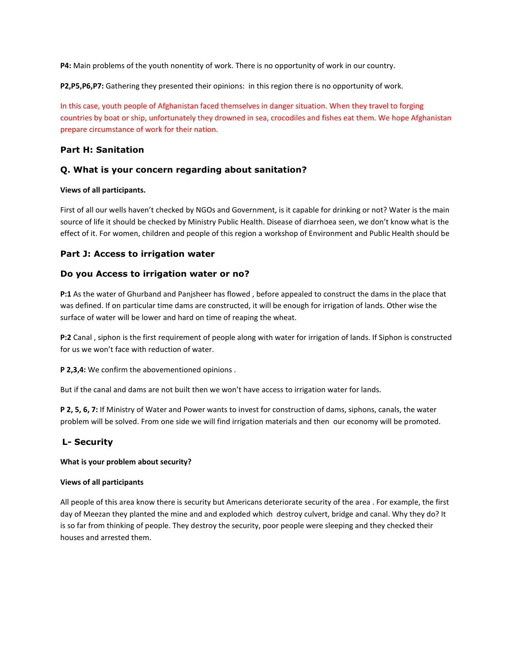**P4:** Main problems of the youth nonentity of work. There is no opportunity of work in our country.

**P2,P5,P6,P7:** Gathering they presented their opinions: in this region there is no opportunity of work.

In this case, youth people of Afghanistan faced themselves in danger situation. When they travel to forging countries by boat or ship, unfortunately they drowned in sea, crocodiles and fishes eat them. We hope Afghanistan prepare circumstance of work for their nation.

#### **Part H: Sanitation**

#### **Q. What is your concern regarding about sanitation?**

#### **Views of all participants.**

First of all our wells haven't checked by NGOs and Government, is it capable for drinking or not? Water is the main source of life it should be checked by Ministry Public Health. Disease of diarrhoea seen, we don't know what is the effect of it. For women, children and people of this region a workshop of Environment and Public Health should be

#### **Part J: Access to irrigation water**

#### **Do you Access to irrigation water or no?**

**P:1** As the water of Ghurband and Panjsheer has flowed , before appealed to construct the dams in the place that was defined. If on particular time dams are constructed, it will be enough for irrigation of lands. Other wise the surface of water will be lower and hard on time of reaping the wheat.

**P:2** Canal , siphon is the first requirement of people along with water for irrigation of lands. If Siphon is constructed for us we won't face with reduction of water.

**P 2,3,4:** We confirm the abovementioned opinions .

But if the canal and dams are not built then we won't have access to irrigation water for lands.

**P 2, 5, 6, 7:** If Ministry of Water and Power wants to invest for construction of dams, siphons, canals, the water problem will be solved. From one side we will find irrigation materials and then our economy will be promoted.

## **L- Security**

#### **What is your problem about security?**

#### **Views of all participants**

All people of this area know there is security but Americans deteriorate security of the area . For example, the first day of Meezan they planted the mine and and exploded which destroy culvert, bridge and canal. Why they do? It is so far from thinking of people. They destroy the security, poor people were sleeping and they checked their houses and arrested them.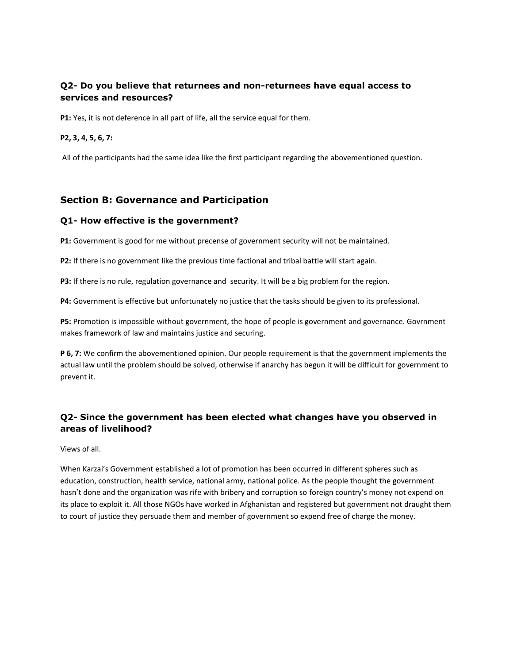## **Q2- Do you believe that returnees and non-returnees have equal access to services and resources?**

**P1:** Yes, it is not deference in all part of life, all the service equal for them.

#### **P2, 3, 4, 5, 6, 7:**

All of the participants had the same idea like the first participant regarding the abovementioned question.

## **Section B: Governance and Participation**

#### **Q1- How effective is the government?**

**P1:** Government is good for me without precense of government security will not be maintained.

**P2:** If there is no government like the previous time factional and tribal battle will start again.

**P3:** If there is no rule, regulation governance and security. It will be a big problem for the region.

**P4:** Government is effective but unfortunately no justice that the tasks should be given to its professional.

**P5:** Promotion is impossible without government, the hope of people is government and governance. Govrnment makes framework of law and maintains justice and securing.

**P 6, 7:** We confirm the abovementioned opinion. Our people requirement is that the government implements the actual law until the problem should be solved, otherwise if anarchy has begun it will be difficult for government to prevent it.

## **Q2- Since the government has been elected what changes have you observed in areas of livelihood?**

Views of all.

When Karzai's Government established a lot of promotion has been occurred in different spheres such as education, construction, health service, national army, national police. As the people thought the government hasn't done and the organization was rife with bribery and corruption so foreign country's money not expend on its place to exploit it. All those NGOs have worked in Afghanistan and registered but government not draught them to court of justice they persuade them and member of government so expend free of charge the money.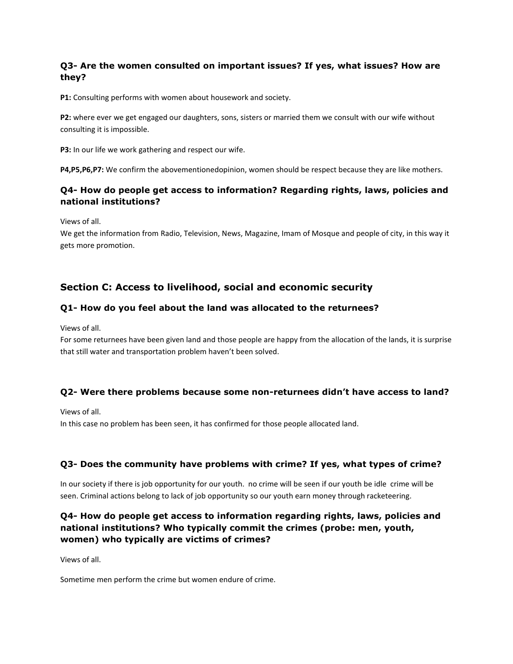## **Q3- Are the women consulted on important issues? If yes, what issues? How are they?**

**P1:** Consulting performs with women about housework and society.

**P2:** where ever we get engaged our daughters, sons, sisters or married them we consult with our wife without consulting it is impossible.

**P3:** In our life we work gathering and respect our wife.

**P4,P5,P6,P7:** We confirm the abovementionedopinion, women should be respect because they are like mothers.

## **Q4- How do people get access to information? Regarding rights, laws, policies and national institutions?**

Views of all.

We get the information from Radio, Television, News, Magazine, Imam of Mosque and people of city, in this way it gets more promotion.

# **Section C: Access to livelihood, social and economic security**

#### **Q1- How do you feel about the land was allocated to the returnees?**

Views of all.

For some returnees have been given land and those people are happy from the allocation of the lands, it is surprise that still water and transportation problem haven't been solved.

#### **Q2- Were there problems because some non-returnees didn't have access to land?**

Views of all.

In this case no problem has been seen, it has confirmed for those people allocated land.

#### **Q3- Does the community have problems with crime? If yes, what types of crime?**

In our society if there is job opportunity for our youth. no crime will be seen if our youth be idle crime will be seen. Criminal actions belong to lack of job opportunity so our youth earn money through racketeering.

## **Q4- How do people get access to information regarding rights, laws, policies and national institutions? Who typically commit the crimes (probe: men, youth, women) who typically are victims of crimes?**

Views of all.

Sometime men perform the crime but women endure of crime.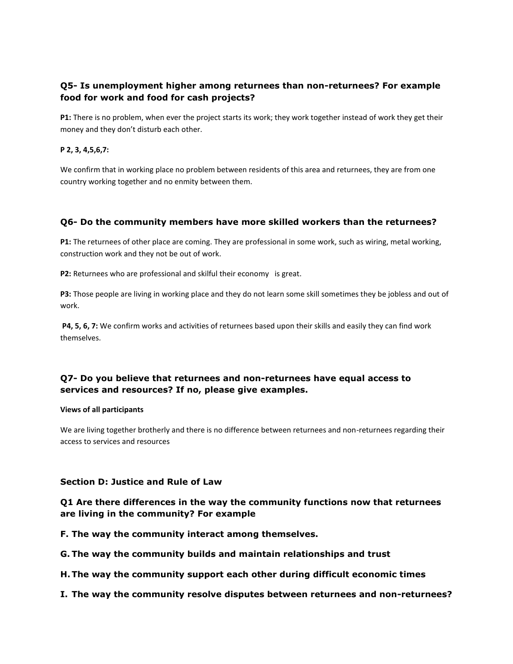## **Q5- Is unemployment higher among returnees than non-returnees? For example food for work and food for cash projects?**

**P1:** There is no problem, when ever the project starts its work; they work together instead of work they get their money and they don't disturb each other.

#### **P 2, 3, 4,5,6,7:**

We confirm that in working place no problem between residents of this area and returnees, they are from one country working together and no enmity between them.

#### **Q6- Do the community members have more skilled workers than the returnees?**

**P1:** The returnees of other place are coming. They are professional in some work, such as wiring, metal working, construction work and they not be out of work.

**P2:** Returnees who are professional and skilful their economy is great.

**P3:** Those people are living in working place and they do not learn some skill sometimes they be jobless and out of work.

**P4, 5, 6, 7:** We confirm works and activities of returnees based upon their skills and easily they can find work themselves.

## **Q7- Do you believe that returnees and non-returnees have equal access to services and resources? If no, please give examples.**

#### **Views of all participants**

We are living together brotherly and there is no difference between returnees and non-returnees regarding their access to services and resources

#### **Section D: Justice and Rule of Law**

## **Q1 Are there differences in the way the community functions now that returnees are living in the community? For example**

**F. The way the community interact among themselves.**

- **G. The way the community builds and maintain relationships and trust**
- **H.The way the community support each other during difficult economic times**
- **I. The way the community resolve disputes between returnees and non-returnees?**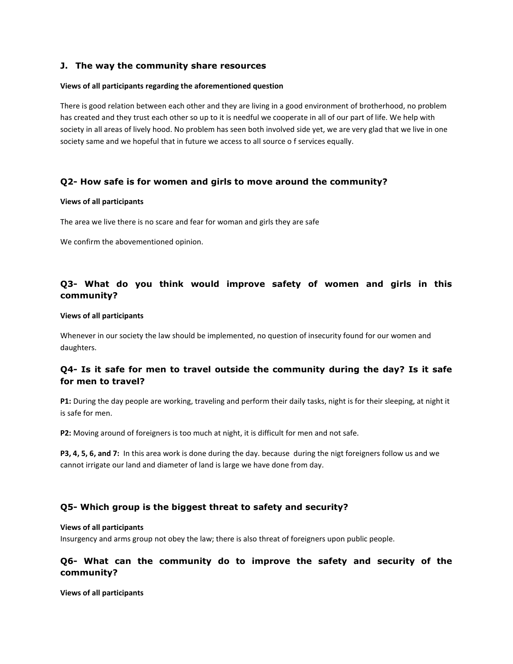#### **J. The way the community share resources**

#### **Views of all participants regarding the aforementioned question**

There is good relation between each other and they are living in a good environment of brotherhood, no problem has created and they trust each other so up to it is needful we cooperate in all of our part of life. We help with society in all areas of lively hood. No problem has seen both involved side yet, we are very glad that we live in one society same and we hopeful that in future we access to all source o f services equally.

#### **Q2- How safe is for women and girls to move around the community?**

#### **Views of all participants**

The area we live there is no scare and fear for woman and girls they are safe

We confirm the abovementioned opinion.

#### **Q3- What do you think would improve safety of women and girls in this community?**

#### **Views of all participants**

Whenever in our society the law should be implemented, no question of insecurity found for our women and daughters.

#### **Q4- Is it safe for men to travel outside the community during the day? Is it safe for men to travel?**

**P1:** During the day people are working, traveling and perform their daily tasks, night is for their sleeping, at night it is safe for men.

**P2:** Moving around of foreigners is too much at night, it is difficult for men and not safe.

**P3, 4, 5, 6, and 7:** In this area work is done during the day. because during the nigt foreigners follow us and we cannot irrigate our land and diameter of land is large we have done from day.

#### **Q5- Which group is the biggest threat to safety and security?**

#### **Views of all participants**

Insurgency and arms group not obey the law; there is also threat of foreigners upon public people.

#### **Q6- What can the community do to improve the safety and security of the community?**

**Views of all participants**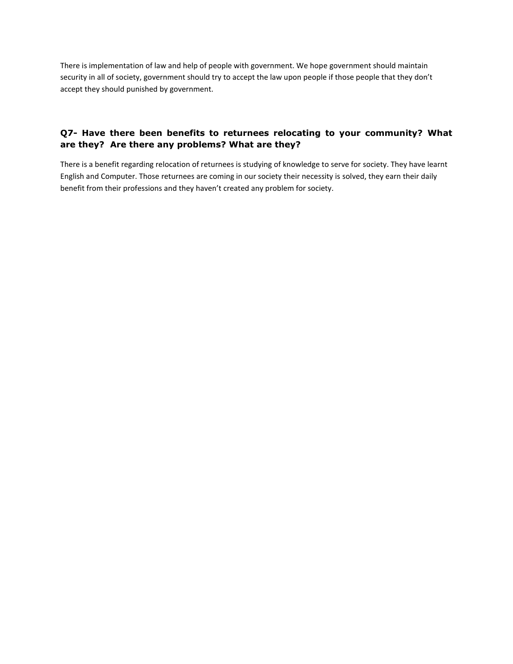There is implementation of law and help of people with government. We hope government should maintain security in all of society, government should try to accept the law upon people if those people that they don't accept they should punished by government.

#### **Q7- Have there been benefits to returnees relocating to your community? What are they? Are there any problems? What are they?**

There is a benefit regarding relocation of returnees is studying of knowledge to serve for society. They have learnt English and Computer. Those returnees are coming in our society their necessity is solved, they earn their daily benefit from their professions and they haven't created any problem for society.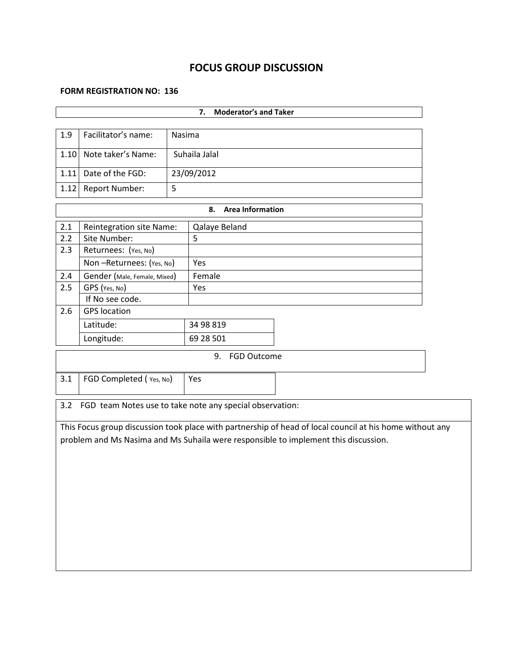# **FOCUS GROUP DISCUSSION**

#### **FORM REGISTRATION NO: 136**

| <b>Moderator's and Taker</b><br>7. |                                     |        |                                                          |                                                                                                                                                                                                 |  |  |  |
|------------------------------------|-------------------------------------|--------|----------------------------------------------------------|-------------------------------------------------------------------------------------------------------------------------------------------------------------------------------------------------|--|--|--|
|                                    |                                     |        |                                                          |                                                                                                                                                                                                 |  |  |  |
| 1.9                                | Facilitator's name:                 | Nasima |                                                          |                                                                                                                                                                                                 |  |  |  |
| 1.10                               | Note taker's Name:<br>Suhaila Jalal |        |                                                          |                                                                                                                                                                                                 |  |  |  |
| 1.11                               | Date of the FGD:                    |        | 23/09/2012                                               |                                                                                                                                                                                                 |  |  |  |
| 1.12                               | Report Number:                      | 5      |                                                          |                                                                                                                                                                                                 |  |  |  |
|                                    |                                     |        | <b>Area Information</b><br>8.                            |                                                                                                                                                                                                 |  |  |  |
| 2.1                                | Reintegration site Name:            |        | Qalaye Beland                                            |                                                                                                                                                                                                 |  |  |  |
| 2.2                                | Site Number:                        |        | 5                                                        |                                                                                                                                                                                                 |  |  |  |
| 2.3                                | Returnees: (Yes, No)                |        |                                                          |                                                                                                                                                                                                 |  |  |  |
|                                    | Non-Returnees: (Yes, No)            |        | Yes                                                      |                                                                                                                                                                                                 |  |  |  |
| 2.4                                | Gender (Male, Female, Mixed)        |        | Female                                                   |                                                                                                                                                                                                 |  |  |  |
| 2.5                                | GPS (Yes, No)                       |        | Yes                                                      |                                                                                                                                                                                                 |  |  |  |
|                                    | If No see code.                     |        |                                                          |                                                                                                                                                                                                 |  |  |  |
| 2.6                                | <b>GPS</b> location                 |        |                                                          |                                                                                                                                                                                                 |  |  |  |
|                                    | Latitude:                           |        | 34 98 819                                                |                                                                                                                                                                                                 |  |  |  |
|                                    | Longitude:                          |        | 69 28 501                                                |                                                                                                                                                                                                 |  |  |  |
|                                    |                                     |        | <b>FGD Outcome</b><br>9.                                 |                                                                                                                                                                                                 |  |  |  |
| 3.1                                | FGD Completed (Yes, No)             |        | Yes                                                      |                                                                                                                                                                                                 |  |  |  |
| 3.2                                |                                     |        | FGD team Notes use to take note any special observation: |                                                                                                                                                                                                 |  |  |  |
|                                    |                                     |        |                                                          | This Focus group discussion took place with partnership of head of local council at his home without any<br>problem and Ms Nasima and Ms Suhaila were responsible to implement this discussion. |  |  |  |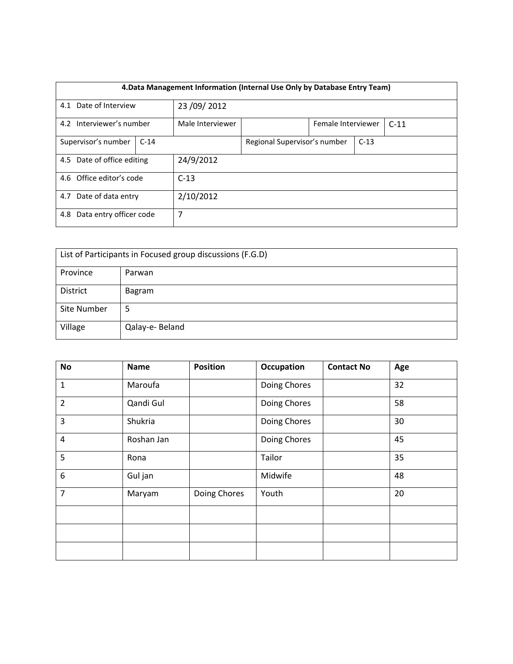| 4. Data Management Information (Internal Use Only by Database Entry Team) |                                         |                              |                  |        |                    |  |        |
|---------------------------------------------------------------------------|-----------------------------------------|------------------------------|------------------|--------|--------------------|--|--------|
|                                                                           | 4.1 Date of Interview<br>23 / 09 / 2012 |                              |                  |        |                    |  |        |
| Interviewer's number<br>4.2                                               |                                         |                              | Male Interviewer |        | Female Interviewer |  | $C-11$ |
| Supervisor's number<br>$C-14$                                             |                                         | Regional Supervisor's number |                  | $C-13$ |                    |  |        |
| 4.5 Date of office editing                                                |                                         | 24/9/2012                    |                  |        |                    |  |        |
| 4.6 Office editor's code<br>$C-13$                                        |                                         |                              |                  |        |                    |  |        |
| Date of data entry<br>2/10/2012<br>4.7                                    |                                         |                              |                  |        |                    |  |        |
| Data entry officer code<br>7<br>4.8                                       |                                         |                              |                  |        |                    |  |        |

| List of Participants in Focused group discussions (F.G.D) |                 |  |  |  |
|-----------------------------------------------------------|-----------------|--|--|--|
| Province                                                  | Parwan          |  |  |  |
| District                                                  | Bagram          |  |  |  |
| Site Number                                               | 5               |  |  |  |
| Village                                                   | Qalay-e- Beland |  |  |  |

| <b>No</b>        | <b>Name</b> | <b>Position</b> | <b>Occupation</b> | <b>Contact No</b> | Age |
|------------------|-------------|-----------------|-------------------|-------------------|-----|
| $\mathbf{1}$     | Maroufa     |                 | Doing Chores      |                   | 32  |
| $\overline{2}$   | Qandi Gul   |                 | Doing Chores      |                   | 58  |
| 3                | Shukria     |                 | Doing Chores      |                   | 30  |
| $\overline{4}$   | Roshan Jan  |                 | Doing Chores      |                   | 45  |
| 5                | Rona        |                 | Tailor            |                   | 35  |
| $\boldsymbol{6}$ | Gul jan     |                 | Midwife           |                   | 48  |
| $\overline{7}$   | Maryam      | Doing Chores    | Youth             |                   | 20  |
|                  |             |                 |                   |                   |     |
|                  |             |                 |                   |                   |     |
|                  |             |                 |                   |                   |     |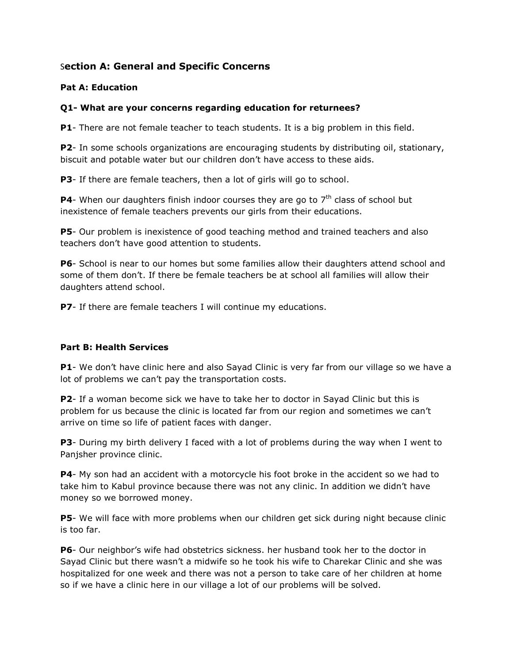# S**ection A: General and Specific Concerns**

## **Pat A: Education**

## **Q1- What are your concerns regarding education for returnees?**

**P1**- There are not female teacher to teach students. It is a big problem in this field.

**P2**- In some schools organizations are encouraging students by distributing oil, stationary, biscuit and potable water but our children don't have access to these aids.

**P3**- If there are female teachers, then a lot of girls will go to school.

**P4**- When our daughters finish indoor courses they are go to  $7<sup>th</sup>$  class of school but inexistence of female teachers prevents our girls from their educations.

**P5**- Our problem is inexistence of good teaching method and trained teachers and also teachers don't have good attention to students.

**P6**- School is near to our homes but some families allow their daughters attend school and some of them don't. If there be female teachers be at school all families will allow their daughters attend school.

**P7**- If there are female teachers I will continue my educations.

## **Part B: Health Services**

**P1**- We don't have clinic here and also Sayad Clinic is very far from our village so we have a lot of problems we can't pay the transportation costs.

**P2**- If a woman become sick we have to take her to doctor in Sayad Clinic but this is problem for us because the clinic is located far from our region and sometimes we can't arrive on time so life of patient faces with danger.

**P3**- During my birth delivery I faced with a lot of problems during the way when I went to Panjsher province clinic.

**P4**- My son had an accident with a motorcycle his foot broke in the accident so we had to take him to Kabul province because there was not any clinic. In addition we didn't have money so we borrowed money.

**P5**- We will face with more problems when our children get sick during night because clinic is too far.

**P6**- Our neighbor's wife had obstetrics sickness. her husband took her to the doctor in Sayad Clinic but there wasn't a midwife so he took his wife to Charekar Clinic and she was hospitalized for one week and there was not a person to take care of her children at home so if we have a clinic here in our village a lot of our problems will be solved.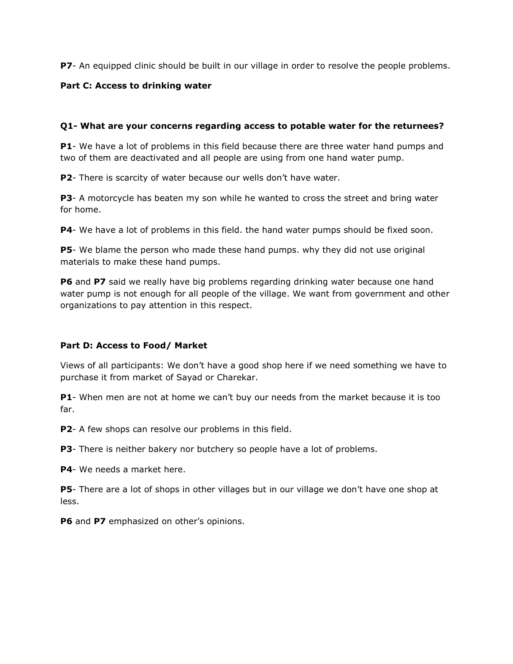**P7**- An equipped clinic should be built in our village in order to resolve the people problems.

#### **Part C: Access to drinking water**

#### **Q1- What are your concerns regarding access to potable water for the returnees?**

**P1**- We have a lot of problems in this field because there are three water hand pumps and two of them are deactivated and all people are using from one hand water pump.

**P2**- There is scarcity of water because our wells don't have water.

**P3**- A motorcycle has beaten my son while he wanted to cross the street and bring water for home.

**P4**- We have a lot of problems in this field. the hand water pumps should be fixed soon.

**P5**- We blame the person who made these hand pumps. why they did not use original materials to make these hand pumps.

**P6** and **P7** said we really have big problems regarding drinking water because one hand water pump is not enough for all people of the village. We want from government and other organizations to pay attention in this respect.

## **Part D: Access to Food/ Market**

Views of all participants: We don't have a good shop here if we need something we have to purchase it from market of Sayad or Charekar.

**P1**- When men are not at home we can't buy our needs from the market because it is too far.

**P2**- A few shops can resolve our problems in this field.

**P3**- There is neither bakery nor butchery so people have a lot of problems.

**P4**- We needs a market here.

**P5**- There are a lot of shops in other villages but in our village we don't have one shop at less.

**P6** and **P7** emphasized on other's opinions.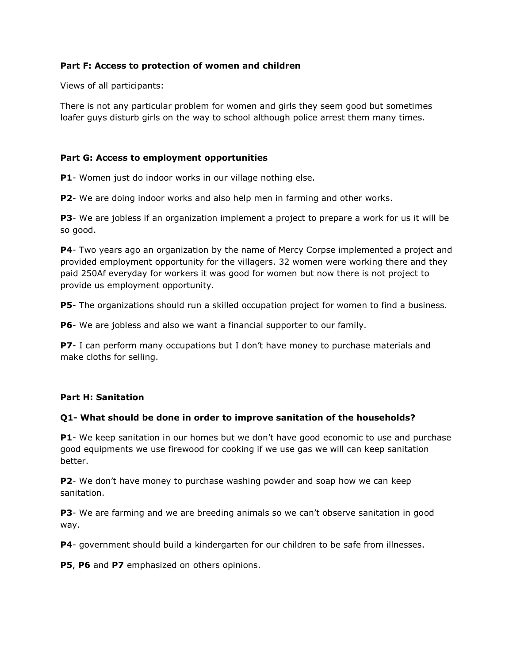#### **Part F: Access to protection of women and children**

Views of all participants:

There is not any particular problem for women and girls they seem good but sometimes loafer guys disturb girls on the way to school although police arrest them many times.

#### **Part G: Access to employment opportunities**

**P1**- Women just do indoor works in our village nothing else.

**P2**- We are doing indoor works and also help men in farming and other works.

**P3**- We are jobless if an organization implement a project to prepare a work for us it will be so good.

**P4**- Two years ago an organization by the name of Mercy Corpse implemented a project and provided employment opportunity for the villagers. 32 women were working there and they paid 250Af everyday for workers it was good for women but now there is not project to provide us employment opportunity.

**P5**- The organizations should run a skilled occupation project for women to find a business.

**P6**- We are jobless and also we want a financial supporter to our family.

**P7**- I can perform many occupations but I don't have money to purchase materials and make cloths for selling.

#### **Part H: Sanitation**

## **Q1- What should be done in order to improve sanitation of the households?**

**P1**- We keep sanitation in our homes but we don't have good economic to use and purchase good equipments we use firewood for cooking if we use gas we will can keep sanitation better.

**P2**- We don't have money to purchase washing powder and soap how we can keep sanitation.

**P3**- We are farming and we are breeding animals so we can't observe sanitation in good way.

**P4**- government should build a kindergarten for our children to be safe from illnesses.

**P5**, **P6** and **P7** emphasized on others opinions.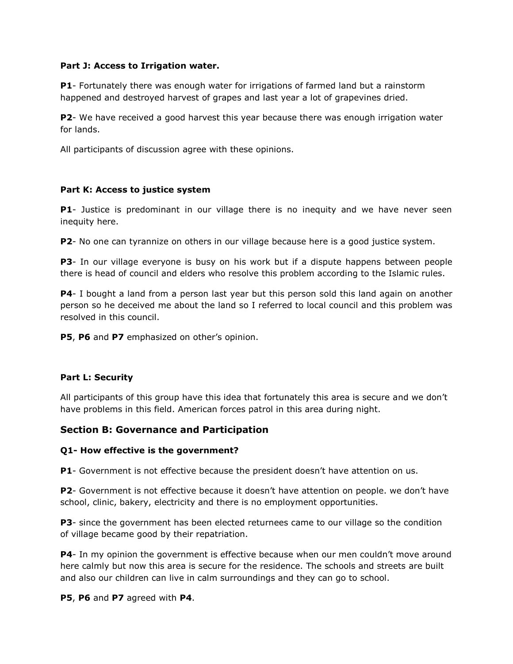#### **Part J: Access to Irrigation water.**

**P1**- Fortunately there was enough water for irrigations of farmed land but a rainstorm happened and destroyed harvest of grapes and last year a lot of grapevines dried.

**P2**- We have received a good harvest this year because there was enough irrigation water for lands.

All participants of discussion agree with these opinions.

## **Part K: Access to justice system**

**P1**- Justice is predominant in our village there is no inequity and we have never seen inequity here.

**P2**- No one can tyrannize on others in our village because here is a good justice system.

**P3**- In our village everyone is busy on his work but if a dispute happens between people there is head of council and elders who resolve this problem according to the Islamic rules.

**P4**- I bought a land from a person last year but this person sold this land again on another person so he deceived me about the land so I referred to local council and this problem was resolved in this council.

**P5**, **P6** and **P7** emphasized on other's opinion.

## **Part L: Security**

All participants of this group have this idea that fortunately this area is secure and we don't have problems in this field. American forces patrol in this area during night.

## **Section B: Governance and Participation**

## **Q1- How effective is the government?**

**P1**- Government is not effective because the president doesn't have attention on us.

**P2**- Government is not effective because it doesn't have attention on people. we don't have school, clinic, bakery, electricity and there is no employment opportunities.

**P3**- since the government has been elected returnees came to our village so the condition of village became good by their repatriation.

**P4**- In my opinion the government is effective because when our men couldn't move around here calmly but now this area is secure for the residence. The schools and streets are built and also our children can live in calm surroundings and they can go to school.

**P5**, **P6** and **P7** agreed with **P4**.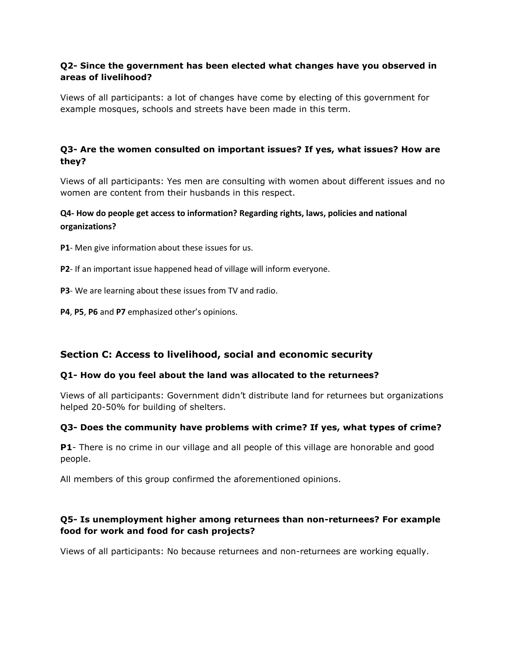## **Q2- Since the government has been elected what changes have you observed in areas of livelihood?**

Views of all participants: a lot of changes have come by electing of this government for example mosques, schools and streets have been made in this term.

## **Q3- Are the women consulted on important issues? If yes, what issues? How are they?**

Views of all participants: Yes men are consulting with women about different issues and no women are content from their husbands in this respect.

## **Q4- How do people get access to information? Regarding rights, laws, policies and national organizations?**

**P1**- Men give information about these issues for us.

- **P2** If an important issue happened head of village will inform everyone.
- **P3** We are learning about these issues from TV and radio.
- **P4**, **P5**, **P6** and **P7** emphasized other's opinions.

# **Section C: Access to livelihood, social and economic security**

## **Q1- How do you feel about the land was allocated to the returnees?**

Views of all participants: Government didn't distribute land for returnees but organizations helped 20-50% for building of shelters.

## **Q3- Does the community have problems with crime? If yes, what types of crime?**

**P1**- There is no crime in our village and all people of this village are honorable and good people.

All members of this group confirmed the aforementioned opinions.

## **Q5- Is unemployment higher among returnees than non-returnees? For example food for work and food for cash projects?**

Views of all participants: No because returnees and non-returnees are working equally.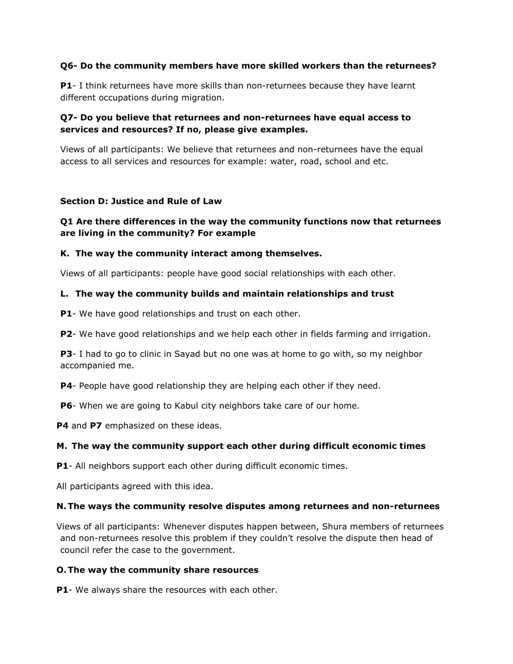#### **Q6- Do the community members have more skilled workers than the returnees?**

**P1**- I think returnees have more skills than non-returnees because they have learnt different occupations during migration.

## **Q7- Do you believe that returnees and non-returnees have equal access to services and resources? If no, please give examples.**

Views of all participants: We believe that returnees and non-returnees have the equal access to all services and resources for example: water, road, school and etc.

#### **Section D: Justice and Rule of Law**

## **Q1 Are there differences in the way the community functions now that returnees are living in the community? For example**

#### **K. The way the community interact among themselves.**

Views of all participants: people have good social relationships with each other.

## **L. The way the community builds and maintain relationships and trust**

**P1**- We have good relationships and trust on each other.

**P2**- We have good relationships and we help each other in fields farming and irrigation.

**P3**- I had to go to clinic in Sayad but no one was at home to go with, so my neighbor accompanied me.

**P4**- People have good relationship they are helping each other if they need.

**P6**- When we are going to Kabul city neighbors take care of our home.

**P4** and **P7** emphasized on these ideas.

## **M. The way the community support each other during difficult economic times**

**P1**- All neighbors support each other during difficult economic times.

All participants agreed with this idea.

#### **N.The ways the community resolve disputes among returnees and non-returnees**

Views of all participants: Whenever disputes happen between, Shura members of returnees and non-returnees resolve this problem if they couldn't resolve the dispute then head of council refer the case to the government.

#### **O.The way the community share resources**

**P1**- We always share the resources with each other.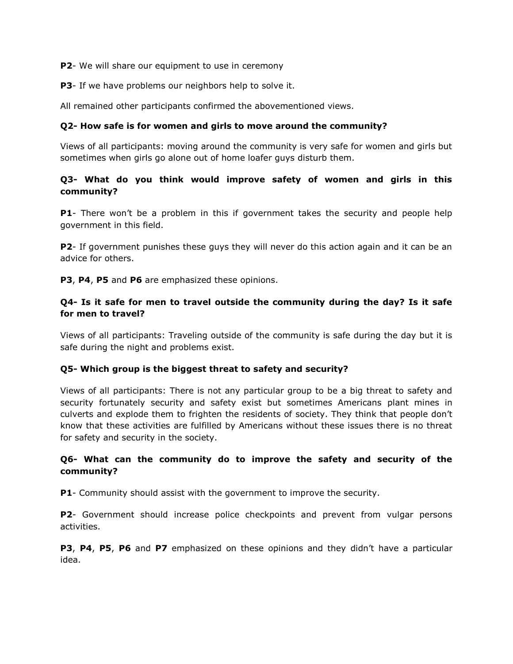**P2**- We will share our equipment to use in ceremony

**P3**- If we have problems our neighbors help to solve it.

All remained other participants confirmed the abovementioned views.

#### **Q2- How safe is for women and girls to move around the community?**

Views of all participants: moving around the community is very safe for women and girls but sometimes when girls go alone out of home loafer guys disturb them.

## **Q3- What do you think would improve safety of women and girls in this community?**

**P1**- There won't be a problem in this if government takes the security and people help government in this field.

**P2**- If government punishes these guys they will never do this action again and it can be an advice for others.

**P3**, **P4**, **P5** and **P6** are emphasized these opinions.

## **Q4- Is it safe for men to travel outside the community during the day? Is it safe for men to travel?**

Views of all participants: Traveling outside of the community is safe during the day but it is safe during the night and problems exist.

## **Q5- Which group is the biggest threat to safety and security?**

Views of all participants: There is not any particular group to be a big threat to safety and security fortunately security and safety exist but sometimes Americans plant mines in culverts and explode them to frighten the residents of society. They think that people don't know that these activities are fulfilled by Americans without these issues there is no threat for safety and security in the society.

## **Q6- What can the community do to improve the safety and security of the community?**

**P1**- Community should assist with the government to improve the security.

**P2**- Government should increase police checkpoints and prevent from vulgar persons activities.

**P3**, **P4**, **P5**, **P6** and **P7** emphasized on these opinions and they didn't have a particular idea.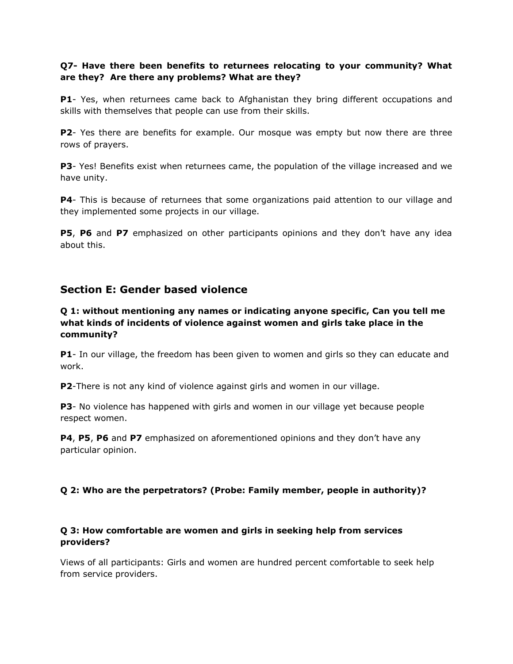## **Q7- Have there been benefits to returnees relocating to your community? What are they? Are there any problems? What are they?**

**P1**- Yes, when returnees came back to Afghanistan they bring different occupations and skills with themselves that people can use from their skills.

**P2**- Yes there are benefits for example. Our mosque was empty but now there are three rows of prayers.

**P3**- Yes! Benefits exist when returnees came, the population of the village increased and we have unity.

**P4**- This is because of returnees that some organizations paid attention to our village and they implemented some projects in our village.

**P5**, **P6** and **P7** emphasized on other participants opinions and they don't have any idea about this.

# **Section E: Gender based violence**

## **Q 1: without mentioning any names or indicating anyone specific, Can you tell me what kinds of incidents of violence against women and girls take place in the community?**

**P1**- In our village, the freedom has been given to women and girls so they can educate and work.

**P2**-There is not any kind of violence against girls and women in our village.

**P3**- No violence has happened with girls and women in our village yet because people respect women.

**P4**, **P5**, **P6** and **P7** emphasized on aforementioned opinions and they don't have any particular opinion.

## **Q 2: Who are the perpetrators? (Probe: Family member, people in authority)?**

## **Q 3: How comfortable are women and girls in seeking help from services providers?**

Views of all participants: Girls and women are hundred percent comfortable to seek help from service providers.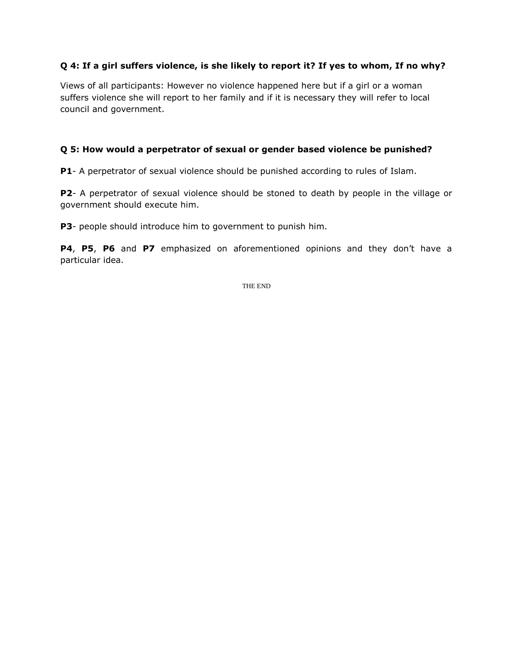## **Q 4: If a girl suffers violence, is she likely to report it? If yes to whom, If no why?**

Views of all participants: However no violence happened here but if a girl or a woman suffers violence she will report to her family and if it is necessary they will refer to local council and government.

## **Q 5: How would a perpetrator of sexual or gender based violence be punished?**

**P1**- A perpetrator of sexual violence should be punished according to rules of Islam.

**P2**- A perpetrator of sexual violence should be stoned to death by people in the village or government should execute him.

**P3**- people should introduce him to government to punish him.

**P4**, **P5**, **P6** and **P7** emphasized on aforementioned opinions and they don't have a particular idea.

THE END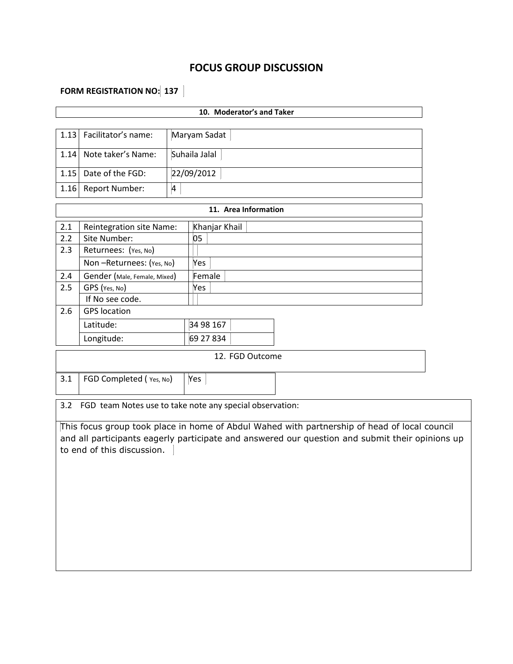# **FOCUS GROUP DISCUSSION**

# **FORM REGISTRATION NO: 137**

|                 |                                 | 10. Moderator's and Taker                                |  |  |  |
|-----------------|---------------------------------|----------------------------------------------------------|--|--|--|
|                 |                                 |                                                          |  |  |  |
| 1.13            | Facilitator's name:             | Maryam Sadat                                             |  |  |  |
| 1.14            | Note taker's Name:              | Suhaila Jalal                                            |  |  |  |
| 1.15            | Date of the FGD:                | 22/09/2012                                               |  |  |  |
| 1.16            | <b>Report Number:</b>           | $\overline{\mathbf{4}}$                                  |  |  |  |
|                 |                                 | 11. Area Information                                     |  |  |  |
| 2.1             | <b>Reintegration site Name:</b> | Khanjar Khail                                            |  |  |  |
| 2.2             | Site Number:                    | 05                                                       |  |  |  |
| 2.3             | Returnees: (Yes, No)            |                                                          |  |  |  |
|                 | Non-Returnees: (Yes, No)        | Yes                                                      |  |  |  |
| 2.4             | Gender (Male, Female, Mixed)    | Female                                                   |  |  |  |
| 2.5             | GPS (Yes, No)                   | Yes                                                      |  |  |  |
|                 | If No see code.                 |                                                          |  |  |  |
| 2.6             | <b>GPS</b> location             |                                                          |  |  |  |
|                 | Latitude:                       | 34 98 167                                                |  |  |  |
|                 | Longitude:                      | 69 27 834                                                |  |  |  |
| 12. FGD Outcome |                                 |                                                          |  |  |  |
| 3.1             | FGD Completed (Yes, No)         | Yes                                                      |  |  |  |
| 3.2             |                                 | FGD team Notes use to take note any special observation: |  |  |  |

This focus group took place in home of Abdul Wahed with partnership of head of local council and all participants eagerly participate and answered our question and submit their opinions up to end of this discussion. |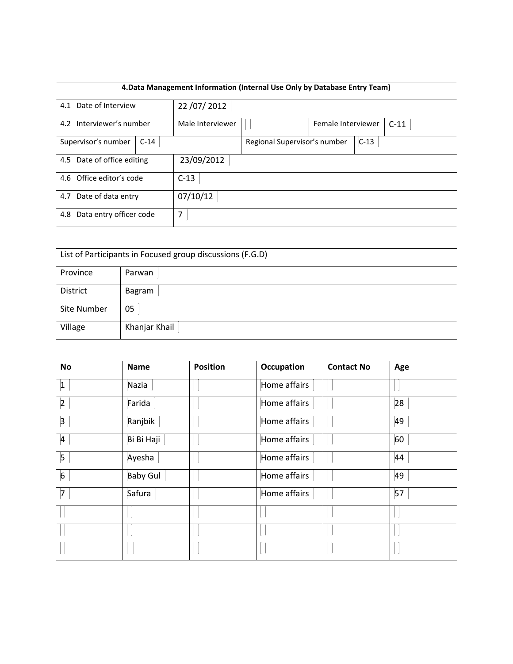|                                          | 4. Data Management Information (Internal Use Only by Database Entry Team) |                  |                              |                    |        |        |  |  |  |
|------------------------------------------|---------------------------------------------------------------------------|------------------|------------------------------|--------------------|--------|--------|--|--|--|
| 4.1 Date of Interview                    |                                                                           | 22 / 07 / 2012   |                              |                    |        |        |  |  |  |
| Interviewer's number<br>4.2              |                                                                           | Male Interviewer |                              | Female Interviewer |        | $C-11$ |  |  |  |
| Supervisor's number                      | $C-14$                                                                    |                  | Regional Supervisor's number |                    | $C-13$ |        |  |  |  |
| 23/09/2012<br>4.5 Date of office editing |                                                                           |                  |                              |                    |        |        |  |  |  |
| 4.6 Office editor's code<br>$C-13$       |                                                                           |                  |                              |                    |        |        |  |  |  |
| 4.7 Date of data entry<br>07/10/12       |                                                                           |                  |                              |                    |        |        |  |  |  |
| Data entry officer code<br>4.8           |                                                                           | 7                |                              |                    |        |        |  |  |  |

| List of Participants in Focused group discussions (F.G.D) |               |  |  |  |
|-----------------------------------------------------------|---------------|--|--|--|
| Province                                                  | Parwan        |  |  |  |
| District                                                  | Bagram        |  |  |  |
| Site Number                                               | 05            |  |  |  |
| Village                                                   | Khanjar Khail |  |  |  |

| <b>No</b>      | <b>Name</b>     | <b>Position</b> | Occupation   | <b>Contact No</b> | Age |
|----------------|-----------------|-----------------|--------------|-------------------|-----|
| 1              | Nazia           |                 | Home affairs |                   |     |
| $\vert$ 2      | Farida          |                 | Home affairs |                   | 28  |
| $\overline{3}$ | Ranjbik         |                 | Home affairs |                   | 49  |
| $\overline{A}$ | Bi Bi Haji      |                 | Home affairs |                   | 60  |
| 5              | Ayesha          |                 | Home affairs |                   | 44  |
| 6              | <b>Baby Gul</b> |                 | Home affairs |                   | 49  |
| $\boxed{7}$    | Safura          |                 | Home affairs |                   | 57  |
|                |                 |                 |              |                   |     |
|                |                 |                 |              |                   |     |
|                |                 |                 |              |                   |     |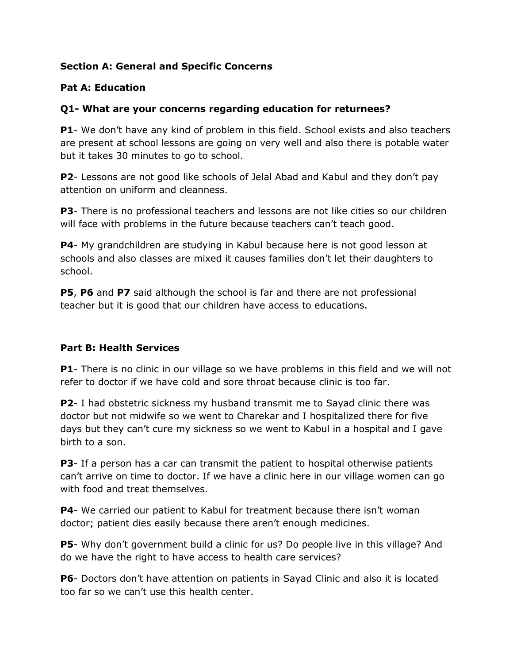# **Section A: General and Specific Concerns**

# **Pat A: Education**

# **Q1- What are your concerns regarding education for returnees?**

**P1**- We don't have any kind of problem in this field. School exists and also teachers are present at school lessons are going on very well and also there is potable water but it takes 30 minutes to go to school.

**P2**- Lessons are not good like schools of Jelal Abad and Kabul and they don't pay attention on uniform and cleanness.

**P3**- There is no professional teachers and lessons are not like cities so our children will face with problems in the future because teachers can't teach good.

**P4**- My grandchildren are studying in Kabul because here is not good lesson at schools and also classes are mixed it causes families don't let their daughters to school.

**P5**, **P6** and **P7** said although the school is far and there are not professional teacher but it is good that our children have access to educations.

# **Part B: Health Services**

**P1**- There is no clinic in our village so we have problems in this field and we will not refer to doctor if we have cold and sore throat because clinic is too far.

**P2**- I had obstetric sickness my husband transmit me to Sayad clinic there was doctor but not midwife so we went to Charekar and I hospitalized there for five days but they can't cure my sickness so we went to Kabul in a hospital and I gave birth to a son.

**P3**- If a person has a car can transmit the patient to hospital otherwise patients can't arrive on time to doctor. If we have a clinic here in our village women can go with food and treat themselves.

**P4**- We carried our patient to Kabul for treatment because there isn't woman doctor; patient dies easily because there aren't enough medicines.

**P5**- Why don't government build a clinic for us? Do people live in this village? And do we have the right to have access to health care services?

**P6**- Doctors don't have attention on patients in Sayad Clinic and also it is located too far so we can't use this health center.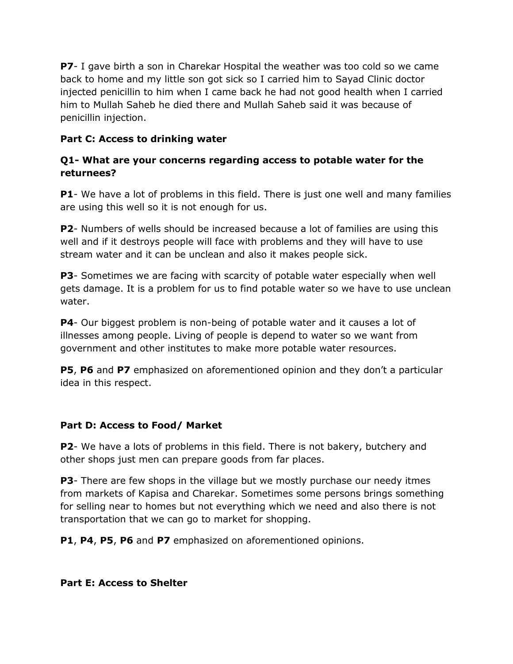**P7**- I gave birth a son in Charekar Hospital the weather was too cold so we came back to home and my little son got sick so I carried him to Sayad Clinic doctor injected penicillin to him when I came back he had not good health when I carried him to Mullah Saheb he died there and Mullah Saheb said it was because of penicillin injection.

# **Part C: Access to drinking water**

# **Q1- What are your concerns regarding access to potable water for the returnees?**

**P1**- We have a lot of problems in this field. There is just one well and many families are using this well so it is not enough for us.

**P2**- Numbers of wells should be increased because a lot of families are using this well and if it destroys people will face with problems and they will have to use stream water and it can be unclean and also it makes people sick.

**P3**- Sometimes we are facing with scarcity of potable water especially when well gets damage. It is a problem for us to find potable water so we have to use unclean water.

**P4**- Our biggest problem is non-being of potable water and it causes a lot of illnesses among people. Living of people is depend to water so we want from government and other institutes to make more potable water resources.

**P5**, **P6** and **P7** emphasized on aforementioned opinion and they don't a particular idea in this respect.

# **Part D: Access to Food/ Market**

**P2**- We have a lots of problems in this field. There is not bakery, butchery and other shops just men can prepare goods from far places.

**P3**- There are few shops in the village but we mostly purchase our needy itmes from markets of Kapisa and Charekar. Sometimes some persons brings something for selling near to homes but not everything which we need and also there is not transportation that we can go to market for shopping.

**P1**, **P4**, **P5**, **P6** and **P7** emphasized on aforementioned opinions.

**Part E: Access to Shelter**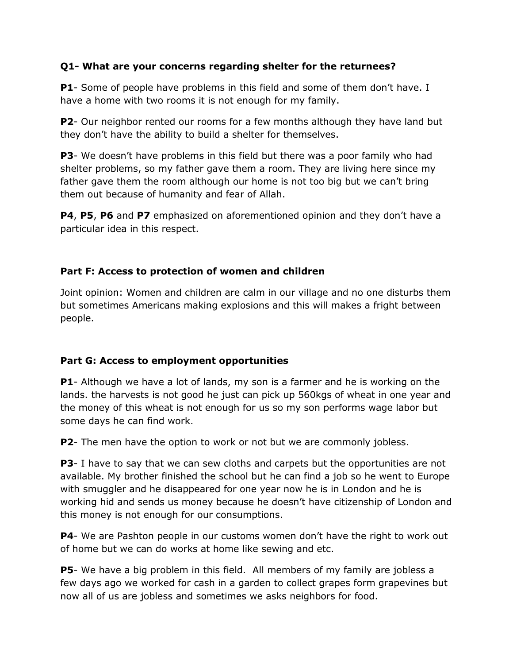# **Q1- What are your concerns regarding shelter for the returnees?**

**P1**- Some of people have problems in this field and some of them don't have. I have a home with two rooms it is not enough for my family.

**P2**- Our neighbor rented our rooms for a few months although they have land but they don't have the ability to build a shelter for themselves.

**P3**- We doesn't have problems in this field but there was a poor family who had shelter problems, so my father gave them a room. They are living here since my father gave them the room although our home is not too big but we can't bring them out because of humanity and fear of Allah.

**P4**, **P5**, **P6** and **P7** emphasized on aforementioned opinion and they don't have a particular idea in this respect.

# **Part F: Access to protection of women and children**

Joint opinion: Women and children are calm in our village and no one disturbs them but sometimes Americans making explosions and this will makes a fright between people.

# **Part G: Access to employment opportunities**

**P1**- Although we have a lot of lands, my son is a farmer and he is working on the lands. the harvests is not good he just can pick up 560kgs of wheat in one year and the money of this wheat is not enough for us so my son performs wage labor but some days he can find work.

**P2**- The men have the option to work or not but we are commonly jobless.

**P3**- I have to say that we can sew cloths and carpets but the opportunities are not available. My brother finished the school but he can find a job so he went to Europe with smuggler and he disappeared for one year now he is in London and he is working hid and sends us money because he doesn't have citizenship of London and this money is not enough for our consumptions.

**P4**- We are Pashton people in our customs women don't have the right to work out of home but we can do works at home like sewing and etc.

**P5**- We have a big problem in this field. All members of my family are jobless a few days ago we worked for cash in a garden to collect grapes form grapevines but now all of us are jobless and sometimes we asks neighbors for food.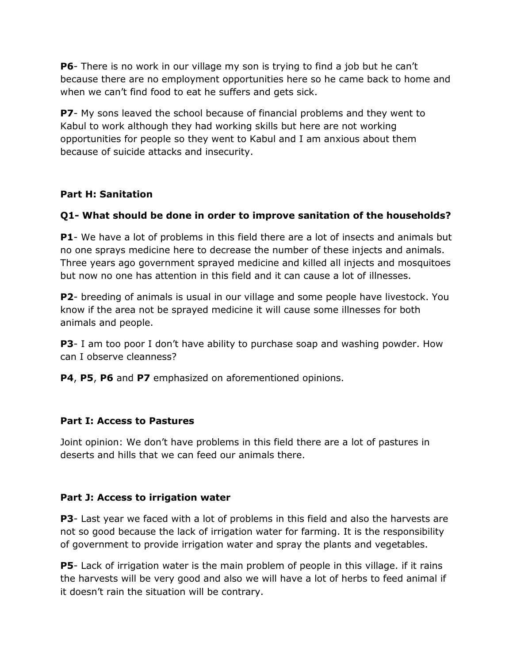**P6**- There is no work in our village my son is trying to find a job but he can't because there are no employment opportunities here so he came back to home and when we can't find food to eat he suffers and gets sick.

**P7**- My sons leaved the school because of financial problems and they went to Kabul to work although they had working skills but here are not working opportunities for people so they went to Kabul and I am anxious about them because of suicide attacks and insecurity.

# **Part H: Sanitation**

# **Q1- What should be done in order to improve sanitation of the households?**

**P1**- We have a lot of problems in this field there are a lot of insects and animals but no one sprays medicine here to decrease the number of these injects and animals. Three years ago government sprayed medicine and killed all injects and mosquitoes but now no one has attention in this field and it can cause a lot of illnesses.

**P2**- breeding of animals is usual in our village and some people have livestock. You know if the area not be sprayed medicine it will cause some illnesses for both animals and people.

**P3**- I am too poor I don't have ability to purchase soap and washing powder. How can I observe cleanness?

**P4**, **P5**, **P6** and **P7** emphasized on aforementioned opinions.

# **Part I: Access to Pastures**

Joint opinion: We don't have problems in this field there are a lot of pastures in deserts and hills that we can feed our animals there.

# **Part J: Access to irrigation water**

**P3**- Last year we faced with a lot of problems in this field and also the harvests are not so good because the lack of irrigation water for farming. It is the responsibility of government to provide irrigation water and spray the plants and vegetables.

**P5**- Lack of irrigation water is the main problem of people in this village. if it rains the harvests will be very good and also we will have a lot of herbs to feed animal if it doesn't rain the situation will be contrary.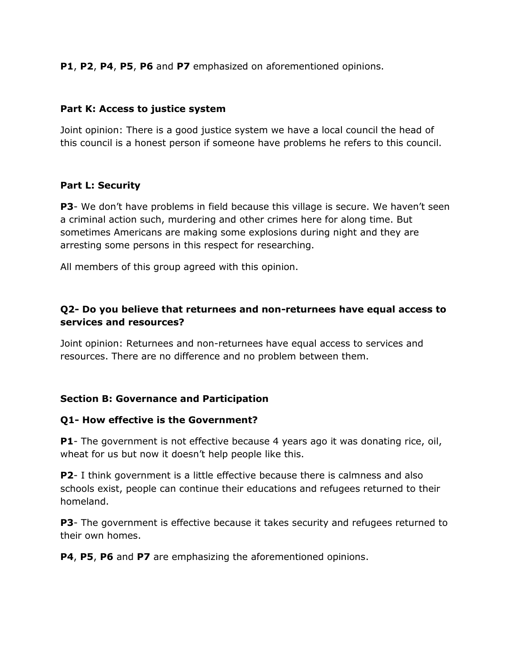**P1**, **P2**, **P4**, **P5**, **P6** and **P7** emphasized on aforementioned opinions.

# **Part K: Access to justice system**

Joint opinion: There is a good justice system we have a local council the head of this council is a honest person if someone have problems he refers to this council.

# **Part L: Security**

**P3**- We don't have problems in field because this village is secure. We haven't seen a criminal action such, murdering and other crimes here for along time. But sometimes Americans are making some explosions during night and they are arresting some persons in this respect for researching.

All members of this group agreed with this opinion.

# **Q2- Do you believe that returnees and non-returnees have equal access to services and resources?**

Joint opinion: Returnees and non-returnees have equal access to services and resources. There are no difference and no problem between them.

# **Section B: Governance and Participation**

# **Q1- How effective is the Government?**

**P1**- The government is not effective because 4 years ago it was donating rice, oil, wheat for us but now it doesn't help people like this.

**P2**- I think government is a little effective because there is calmness and also schools exist, people can continue their educations and refugees returned to their homeland.

**P3**- The government is effective because it takes security and refugees returned to their own homes.

**P4**, **P5**, **P6** and **P7** are emphasizing the aforementioned opinions.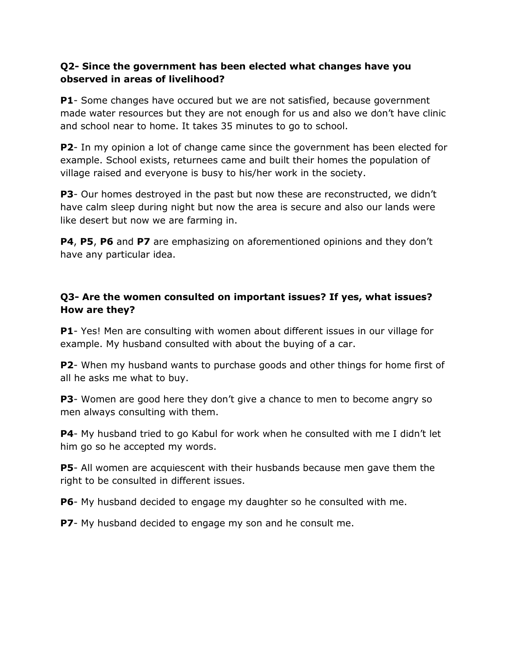# **Q2- Since the government has been elected what changes have you observed in areas of livelihood?**

**P1**- Some changes have occured but we are not satisfied, because government made water resources but they are not enough for us and also we don't have clinic and school near to home. It takes 35 minutes to go to school.

**P2**- In my opinion a lot of change came since the government has been elected for example. School exists, returnees came and built their homes the population of village raised and everyone is busy to his/her work in the society.

**P3**- Our homes destroyed in the past but now these are reconstructed, we didn't have calm sleep during night but now the area is secure and also our lands were like desert but now we are farming in.

**P4**, **P5**, **P6** and **P7** are emphasizing on aforementioned opinions and they don't have any particular idea.

# **Q3- Are the women consulted on important issues? If yes, what issues? How are they?**

**P1**- Yes! Men are consulting with women about different issues in our village for example. My husband consulted with about the buying of a car.

**P2**- When my husband wants to purchase goods and other things for home first of all he asks me what to buy.

**P3**- Women are good here they don't give a chance to men to become angry so men always consulting with them.

**P4**- My husband tried to go Kabul for work when he consulted with me I didn't let him go so he accepted my words.

**P5**- All women are acquiescent with their husbands because men gave them the right to be consulted in different issues.

**P6**- My husband decided to engage my daughter so he consulted with me.

**P7**- My husband decided to engage my son and he consult me.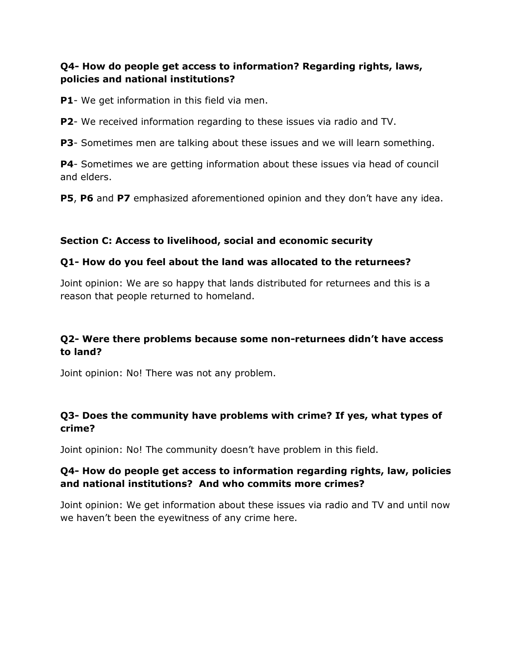# **Q4- How do people get access to information? Regarding rights, laws, policies and national institutions?**

**P1**- We get information in this field via men.

**P2**- We received information regarding to these issues via radio and TV.

**P3**- Sometimes men are talking about these issues and we will learn something.

**P4**- Sometimes we are getting information about these issues via head of council and elders.

**P5**, **P6** and **P7** emphasized aforementioned opinion and they don't have any idea.

# **Section C: Access to livelihood, social and economic security**

# **Q1- How do you feel about the land was allocated to the returnees?**

Joint opinion: We are so happy that lands distributed for returnees and this is a reason that people returned to homeland.

# **Q2- Were there problems because some non-returnees didn't have access to land?**

Joint opinion: No! There was not any problem.

# **Q3- Does the community have problems with crime? If yes, what types of crime?**

Joint opinion: No! The community doesn't have problem in this field.

# **Q4- How do people get access to information regarding rights, law, policies and national institutions? And who commits more crimes?**

Joint opinion: We get information about these issues via radio and TV and until now we haven't been the eyewitness of any crime here.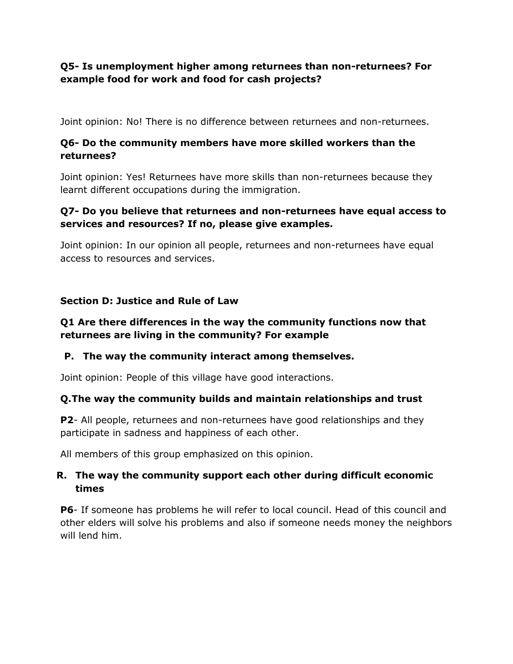# **Q5- Is unemployment higher among returnees than non-returnees? For example food for work and food for cash projects?**

Joint opinion: No! There is no difference between returnees and non-returnees.

# **Q6- Do the community members have more skilled workers than the returnees?**

Joint opinion: Yes! Returnees have more skills than non-returnees because they learnt different occupations during the immigration.

# **Q7- Do you believe that returnees and non-returnees have equal access to services and resources? If no, please give examples.**

Joint opinion: In our opinion all people, returnees and non-returnees have equal access to resources and services.

# **Section D: Justice and Rule of Law**

# **Q1 Are there differences in the way the community functions now that returnees are living in the community? For example**

# **P. The way the community interact among themselves.**

Joint opinion: People of this village have good interactions.

# **Q.The way the community builds and maintain relationships and trust**

**P2**- All people, returnees and non-returnees have good relationships and they participate in sadness and happiness of each other.

All members of this group emphasized on this opinion.

# **R. The way the community support each other during difficult economic times**

**P6**- If someone has problems he will refer to local council. Head of this council and other elders will solve his problems and also if someone needs money the neighbors will lend him.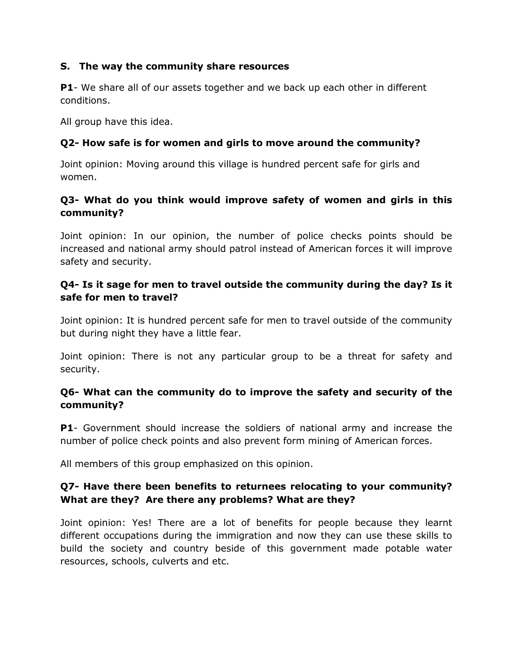# **S. The way the community share resources**

**P1**- We share all of our assets together and we back up each other in different conditions.

All group have this idea.

# **Q2- How safe is for women and girls to move around the community?**

Joint opinion: Moving around this village is hundred percent safe for girls and women.

# **Q3- What do you think would improve safety of women and girls in this community?**

Joint opinion: In our opinion, the number of police checks points should be increased and national army should patrol instead of American forces it will improve safety and security.

# **Q4- Is it sage for men to travel outside the community during the day? Is it safe for men to travel?**

Joint opinion: It is hundred percent safe for men to travel outside of the community but during night they have a little fear.

Joint opinion: There is not any particular group to be a threat for safety and security.

# **Q6- What can the community do to improve the safety and security of the community?**

**P1**- Government should increase the soldiers of national army and increase the number of police check points and also prevent form mining of American forces.

All members of this group emphasized on this opinion.

# **Q7- Have there been benefits to returnees relocating to your community? What are they? Are there any problems? What are they?**

Joint opinion: Yes! There are a lot of benefits for people because they learnt different occupations during the immigration and now they can use these skills to build the society and country beside of this government made potable water resources, schools, culverts and etc.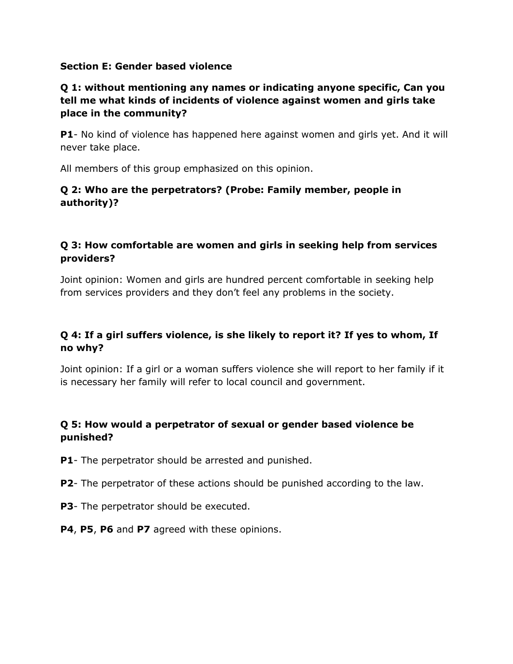## **Section E: Gender based violence**

# **Q 1: without mentioning any names or indicating anyone specific, Can you tell me what kinds of incidents of violence against women and girls take place in the community?**

**P1**- No kind of violence has happened here against women and girls yet. And it will never take place.

All members of this group emphasized on this opinion.

# **Q 2: Who are the perpetrators? (Probe: Family member, people in authority)?**

# **Q 3: How comfortable are women and girls in seeking help from services providers?**

Joint opinion: Women and girls are hundred percent comfortable in seeking help from services providers and they don't feel any problems in the society.

# **Q 4: If a girl suffers violence, is she likely to report it? If yes to whom, If no why?**

Joint opinion: If a girl or a woman suffers violence she will report to her family if it is necessary her family will refer to local council and government.

# **Q 5: How would a perpetrator of sexual or gender based violence be punished?**

- **P1** The perpetrator should be arrested and punished.
- **P2** The perpetrator of these actions should be punished according to the law.
- **P3** The perpetrator should be executed.
- **P4**, **P5**, **P6** and **P7** agreed with these opinions.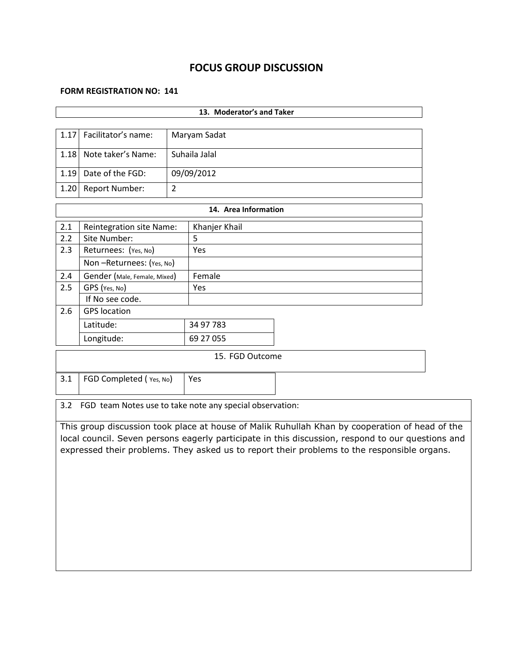# **FOCUS GROUP DISCUSSION**

#### **FORM REGISTRATION NO: 141**

|      | 13. Moderator's and Taker       |                |                      |  |  |  |  |
|------|---------------------------------|----------------|----------------------|--|--|--|--|
|      |                                 |                |                      |  |  |  |  |
| 1.17 | Facilitator's name:             |                | Maryam Sadat         |  |  |  |  |
| 1.18 | Note taker's Name:              |                | Suhaila Jalal        |  |  |  |  |
| 1.19 | Date of the FGD:                |                | 09/09/2012           |  |  |  |  |
| 1.20 | <b>Report Number:</b>           | $\overline{2}$ |                      |  |  |  |  |
|      |                                 |                | 14. Area Information |  |  |  |  |
|      |                                 |                |                      |  |  |  |  |
| 2.1  | <b>Reintegration site Name:</b> |                | Khanjer Khail        |  |  |  |  |
| 2.2  | Site Number:                    |                | 5                    |  |  |  |  |
| 2.3  | Returnees: (Yes, No)            |                | Yes.                 |  |  |  |  |
|      | Non-Returnees: (Yes, No)        |                |                      |  |  |  |  |
| 2.4  | Gender (Male, Female, Mixed)    |                | Female               |  |  |  |  |
| 2.5  | GPS (Yes, No)                   |                | Yes                  |  |  |  |  |
|      | If No see code.                 |                |                      |  |  |  |  |
| 2.6  | <b>GPS</b> location             |                |                      |  |  |  |  |
|      | Latitude:                       |                | 34 97 783            |  |  |  |  |
|      | Longitude:                      |                | 69 27 055            |  |  |  |  |
|      | 15. FGD Outcome                 |                |                      |  |  |  |  |
| 3.1  | FGD Completed (Yes, No)         |                | Yes                  |  |  |  |  |

3.2 FGD team Notes use to take note any special observation:

This group discussion took place at house of Malik Ruhullah Khan by cooperation of head of the local council. Seven persons eagerly participate in this discussion, respond to our questions and expressed their problems. They asked us to report their problems to the responsible organs.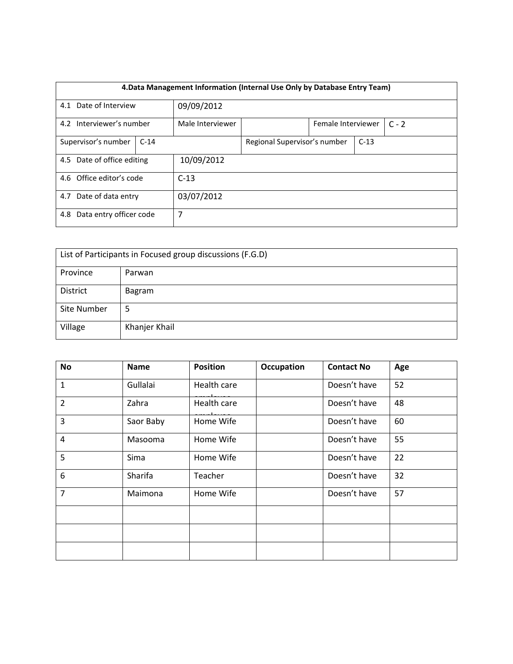|                                | 4. Data Management Information (Internal Use Only by Database Entry Team) |                  |                               |                              |  |        |  |  |
|--------------------------------|---------------------------------------------------------------------------|------------------|-------------------------------|------------------------------|--|--------|--|--|
|                                | 4.1 Date of Interview                                                     |                  |                               |                              |  |        |  |  |
|                                |                                                                           |                  | 09/09/2012                    |                              |  |        |  |  |
| 4.2 Interviewer's number       |                                                                           | Male Interviewer | Female Interviewer<br>$C - 2$ |                              |  |        |  |  |
|                                |                                                                           |                  |                               |                              |  |        |  |  |
|                                | Supervisor's number                                                       | $C-14$           |                               | Regional Supervisor's number |  | $C-13$ |  |  |
|                                |                                                                           |                  |                               |                              |  |        |  |  |
|                                | 4.5 Date of office editing                                                |                  | 10/09/2012                    |                              |  |        |  |  |
|                                |                                                                           |                  |                               |                              |  |        |  |  |
|                                | 4.6 Office editor's code                                                  |                  | $C-13$                        |                              |  |        |  |  |
|                                |                                                                           |                  |                               |                              |  |        |  |  |
| Date of data entry<br>4.7      |                                                                           | 03/07/2012       |                               |                              |  |        |  |  |
|                                |                                                                           |                  |                               |                              |  |        |  |  |
| Data entry officer code<br>4.8 |                                                                           | 7                |                               |                              |  |        |  |  |
|                                |                                                                           |                  |                               |                              |  |        |  |  |

| List of Participants in Focused group discussions (F.G.D) |               |  |  |  |
|-----------------------------------------------------------|---------------|--|--|--|
| Province                                                  | Parwan        |  |  |  |
| District                                                  | Bagram        |  |  |  |
| Site Number                                               | 5             |  |  |  |
| Village                                                   | Khanjer Khail |  |  |  |

| No             | <b>Name</b> | <b>Position</b> | <b>Occupation</b> | <b>Contact No</b> | Age |
|----------------|-------------|-----------------|-------------------|-------------------|-----|
| $\mathbf{1}$   | Gullalai    | Health care     |                   | Doesn't have      | 52  |
| $\overline{2}$ | Zahra       | Health care     |                   | Doesn't have      | 48  |
| 3              | Saor Baby   | Home Wife       |                   | Doesn't have      | 60  |
| $\overline{4}$ | Masooma     | Home Wife       |                   | Doesn't have      | 55  |
| 5              | Sima        | Home Wife       |                   | Doesn't have      | 22  |
| 6              | Sharifa     | Teacher         |                   | Doesn't have      | 32  |
| $\overline{7}$ | Maimona     | Home Wife       |                   | Doesn't have      | 57  |
|                |             |                 |                   |                   |     |
|                |             |                 |                   |                   |     |
|                |             |                 |                   |                   |     |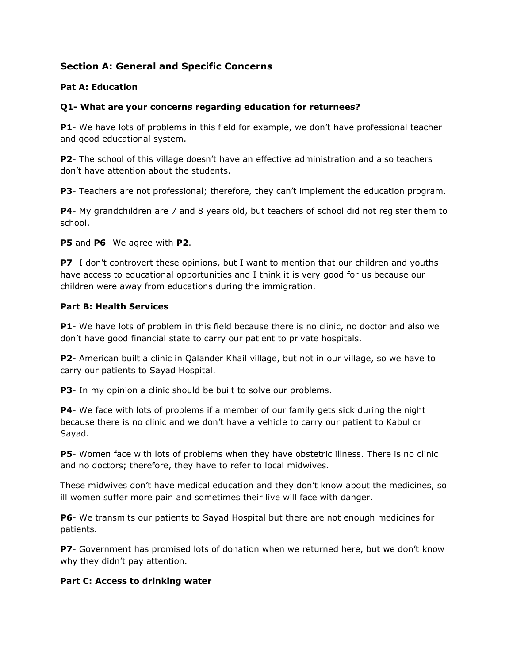# **Section A: General and Specific Concerns**

## **Pat A: Education**

#### **Q1- What are your concerns regarding education for returnees?**

**P1**- We have lots of problems in this field for example, we don't have professional teacher and good educational system.

**P2**- The school of this village doesn't have an effective administration and also teachers don't have attention about the students.

**P3**- Teachers are not professional; therefore, they can't implement the education program.

**P4**- My grandchildren are 7 and 8 years old, but teachers of school did not register them to school.

**P5** and **P6**- We agree with **P2**.

**P7**- I don't controvert these opinions, but I want to mention that our children and youths have access to educational opportunities and I think it is very good for us because our children were away from educations during the immigration.

#### **Part B: Health Services**

**P1**- We have lots of problem in this field because there is no clinic, no doctor and also we don't have good financial state to carry our patient to private hospitals.

**P2**- American built a clinic in Qalander Khail village, but not in our village, so we have to carry our patients to Sayad Hospital.

**P3**- In my opinion a clinic should be built to solve our problems.

**P4**- We face with lots of problems if a member of our family gets sick during the night because there is no clinic and we don't have a vehicle to carry our patient to Kabul or Sayad.

**P5**- Women face with lots of problems when they have obstetric illness. There is no clinic and no doctors; therefore, they have to refer to local midwives.

These midwives don't have medical education and they don't know about the medicines, so ill women suffer more pain and sometimes their live will face with danger.

**P6**- We transmits our patients to Sayad Hospital but there are not enough medicines for patients.

**P7**- Government has promised lots of donation when we returned here, but we don't know why they didn't pay attention.

#### **Part C: Access to drinking water**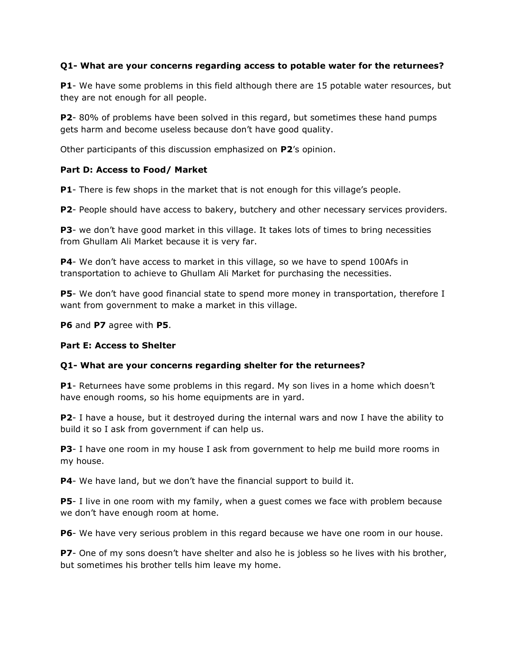## **Q1- What are your concerns regarding access to potable water for the returnees?**

**P1**- We have some problems in this field although there are 15 potable water resources, but they are not enough for all people.

**P2**- 80% of problems have been solved in this regard, but sometimes these hand pumps gets harm and become useless because don't have good quality.

Other participants of this discussion emphasized on **P2**'s opinion.

#### **Part D: Access to Food/ Market**

**P1**- There is few shops in the market that is not enough for this village's people.

**P2**- People should have access to bakery, butchery and other necessary services providers.

**P3**- we don't have good market in this village. It takes lots of times to bring necessities from Ghullam Ali Market because it is very far.

**P4**- We don't have access to market in this village, so we have to spend 100Afs in transportation to achieve to Ghullam Ali Market for purchasing the necessities.

**P5**- We don't have good financial state to spend more money in transportation, therefore I want from government to make a market in this village.

**P6** and **P7** agree with **P5**.

#### **Part E: Access to Shelter**

## **Q1- What are your concerns regarding shelter for the returnees?**

**P1**- Returnees have some problems in this regard. My son lives in a home which doesn't have enough rooms, so his home equipments are in yard.

**P2**- I have a house, but it destroyed during the internal wars and now I have the ability to build it so I ask from government if can help us.

**P3**- I have one room in my house I ask from government to help me build more rooms in my house.

**P4**- We have land, but we don't have the financial support to build it.

**P5**- I live in one room with my family, when a guest comes we face with problem because we don't have enough room at home.

**P6**- We have very serious problem in this regard because we have one room in our house.

**P7**- One of my sons doesn't have shelter and also he is jobless so he lives with his brother, but sometimes his brother tells him leave my home.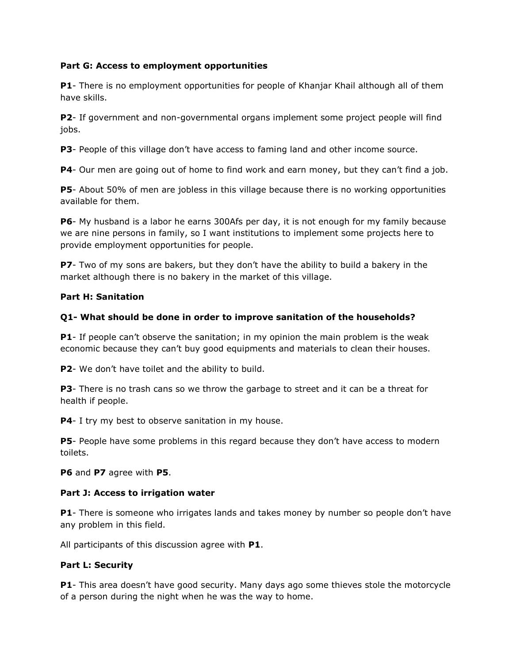## **Part G: Access to employment opportunities**

**P1**- There is no employment opportunities for people of Khanjar Khail although all of them have skills.

**P2**- If government and non-governmental organs implement some project people will find jobs.

**P3**- People of this village don't have access to faming land and other income source.

**P4**- Our men are going out of home to find work and earn money, but they can't find a job.

**P5**- About 50% of men are jobless in this village because there is no working opportunities available for them.

**P6**- My husband is a labor he earns 300Afs per day, it is not enough for my family because we are nine persons in family, so I want institutions to implement some projects here to provide employment opportunities for people.

**P7**- Two of my sons are bakers, but they don't have the ability to build a bakery in the market although there is no bakery in the market of this village.

#### **Part H: Sanitation**

#### **Q1- What should be done in order to improve sanitation of the households?**

**P1**- If people can't observe the sanitation; in my opinion the main problem is the weak economic because they can't buy good equipments and materials to clean their houses.

**P2**- We don't have toilet and the ability to build.

**P3**- There is no trash cans so we throw the garbage to street and it can be a threat for health if people.

**P4**- I try my best to observe sanitation in my house.

**P5**- People have some problems in this regard because they don't have access to modern toilets.

**P6** and **P7** agree with **P5**.

#### **Part J: Access to irrigation water**

**P1**- There is someone who irrigates lands and takes money by number so people don't have any problem in this field.

All participants of this discussion agree with **P1**.

#### **Part L: Security**

**P1**- This area doesn't have good security. Many days ago some thieves stole the motorcycle of a person during the night when he was the way to home.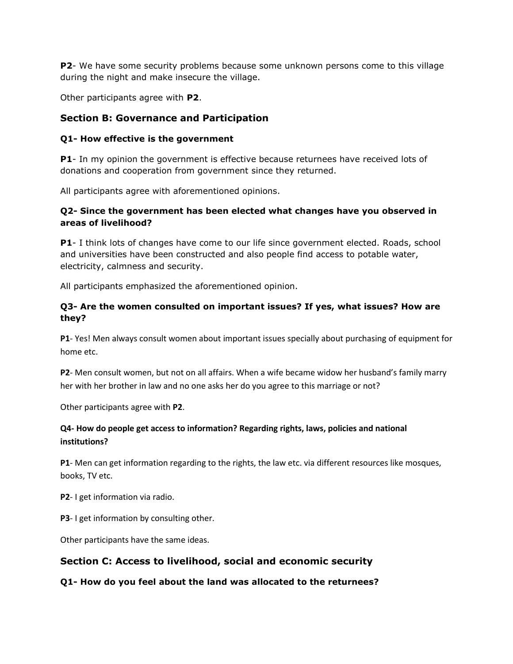**P2**- We have some security problems because some unknown persons come to this village during the night and make insecure the village.

Other participants agree with **P2**.

# **Section B: Governance and Participation**

# **Q1- How effective is the government**

**P1**- In my opinion the government is effective because returnees have received lots of donations and cooperation from government since they returned.

All participants agree with aforementioned opinions.

## **Q2- Since the government has been elected what changes have you observed in areas of livelihood?**

**P1**- I think lots of changes have come to our life since government elected. Roads, school and universities have been constructed and also people find access to potable water, electricity, calmness and security.

All participants emphasized the aforementioned opinion.

# **Q3- Are the women consulted on important issues? If yes, what issues? How are they?**

**P1**- Yes! Men always consult women about important issues specially about purchasing of equipment for home etc.

**P2**- Men consult women, but not on all affairs. When a wife became widow her husband's family marry her with her brother in law and no one asks her do you agree to this marriage or not?

Other participants agree with **P2**.

# **Q4- How do people get access to information? Regarding rights, laws, policies and national institutions?**

**P1**- Men can get information regarding to the rights, the law etc. via different resources like mosques, books, TV etc.

**P2**- I get information via radio.

**P3**- I get information by consulting other.

Other participants have the same ideas.

# **Section C: Access to livelihood, social and economic security**

**Q1- How do you feel about the land was allocated to the returnees?**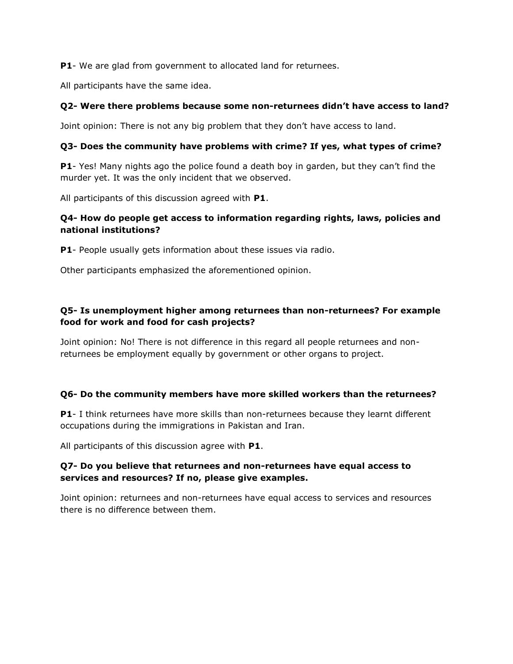**P1**- We are glad from government to allocated land for returnees.

All participants have the same idea.

## **Q2- Were there problems because some non-returnees didn't have access to land?**

Joint opinion: There is not any big problem that they don't have access to land.

## **Q3- Does the community have problems with crime? If yes, what types of crime?**

**P1**- Yes! Many nights ago the police found a death boy in garden, but they can't find the murder yet. It was the only incident that we observed.

All participants of this discussion agreed with **P1**.

## **Q4- How do people get access to information regarding rights, laws, policies and national institutions?**

**P1**- People usually gets information about these issues via radio.

Other participants emphasized the aforementioned opinion.

# **Q5- Is unemployment higher among returnees than non-returnees? For example food for work and food for cash projects?**

Joint opinion: No! There is not difference in this regard all people returnees and nonreturnees be employment equally by government or other organs to project.

## **Q6- Do the community members have more skilled workers than the returnees?**

**P1**- I think returnees have more skills than non-returnees because they learnt different occupations during the immigrations in Pakistan and Iran.

All participants of this discussion agree with **P1**.

## **Q7- Do you believe that returnees and non-returnees have equal access to services and resources? If no, please give examples.**

Joint opinion: returnees and non-returnees have equal access to services and resources there is no difference between them.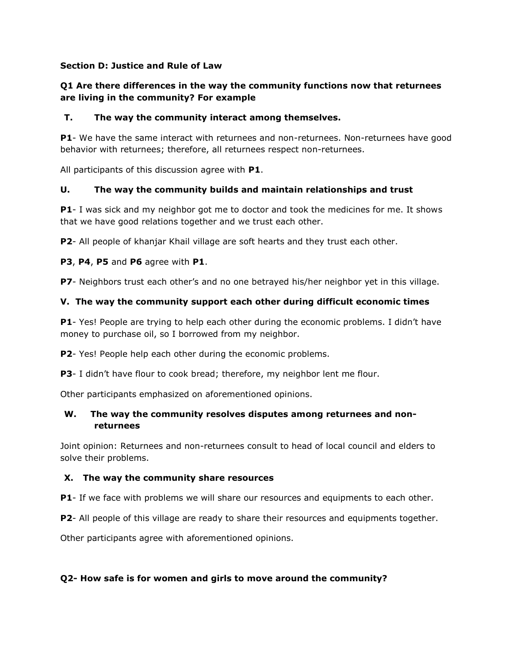## **Section D: Justice and Rule of Law**

## **Q1 Are there differences in the way the community functions now that returnees are living in the community? For example**

#### **T. The way the community interact among themselves.**

**P1**- We have the same interact with returnees and non-returnees. Non-returnees have good behavior with returnees; therefore, all returnees respect non-returnees.

All participants of this discussion agree with **P1**.

#### **U. The way the community builds and maintain relationships and trust**

**P1**- I was sick and my neighbor got me to doctor and took the medicines for me. It shows that we have good relations together and we trust each other.

**P2**- All people of khanjar Khail village are soft hearts and they trust each other.

#### **P3**, **P4**, **P5** and **P6** agree with **P1**.

**P7**- Neighbors trust each other's and no one betrayed his/her neighbor yet in this village.

#### **V. The way the community support each other during difficult economic times**

**P1**- Yes! People are trying to help each other during the economic problems. I didn't have money to purchase oil, so I borrowed from my neighbor.

**P2**- Yes! People help each other during the economic problems.

**P3**- I didn't have flour to cook bread; therefore, my neighbor lent me flour.

Other participants emphasized on aforementioned opinions.

## **W. The way the community resolves disputes among returnees and nonreturnees**

Joint opinion: Returnees and non-returnees consult to head of local council and elders to solve their problems.

## **X. The way the community share resources**

**P1**- If we face with problems we will share our resources and equipments to each other.

**P2**- All people of this village are ready to share their resources and equipments together.

Other participants agree with aforementioned opinions.

## **Q2- How safe is for women and girls to move around the community?**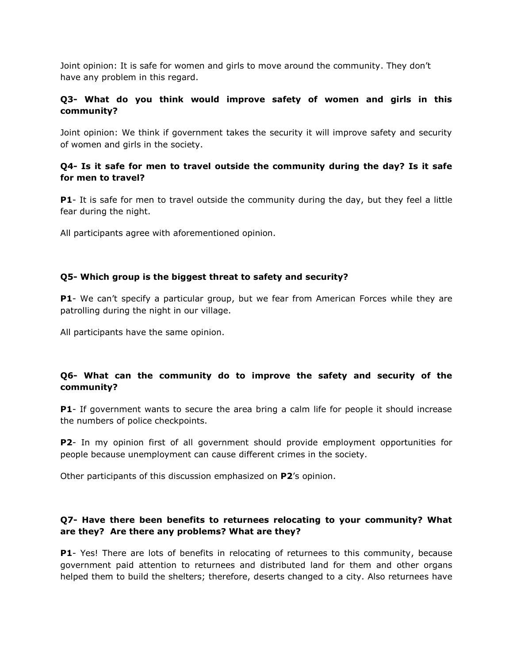Joint opinion: It is safe for women and girls to move around the community. They don't have any problem in this regard.

## **Q3- What do you think would improve safety of women and girls in this community?**

Joint opinion: We think if government takes the security it will improve safety and security of women and girls in the society.

## **Q4- Is it safe for men to travel outside the community during the day? Is it safe for men to travel?**

**P1**- It is safe for men to travel outside the community during the day, but they feel a little fear during the night.

All participants agree with aforementioned opinion.

## **Q5- Which group is the biggest threat to safety and security?**

**P1**- We can't specify a particular group, but we fear from American Forces while they are patrolling during the night in our village.

All participants have the same opinion.

## **Q6- What can the community do to improve the safety and security of the community?**

**P1**- If government wants to secure the area bring a calm life for people it should increase the numbers of police checkpoints.

**P2**- In my opinion first of all government should provide employment opportunities for people because unemployment can cause different crimes in the society.

Other participants of this discussion emphasized on **P2**'s opinion.

## **Q7- Have there been benefits to returnees relocating to your community? What are they? Are there any problems? What are they?**

**P1**- Yes! There are lots of benefits in relocating of returnees to this community, because government paid attention to returnees and distributed land for them and other organs helped them to build the shelters; therefore, deserts changed to a city. Also returnees have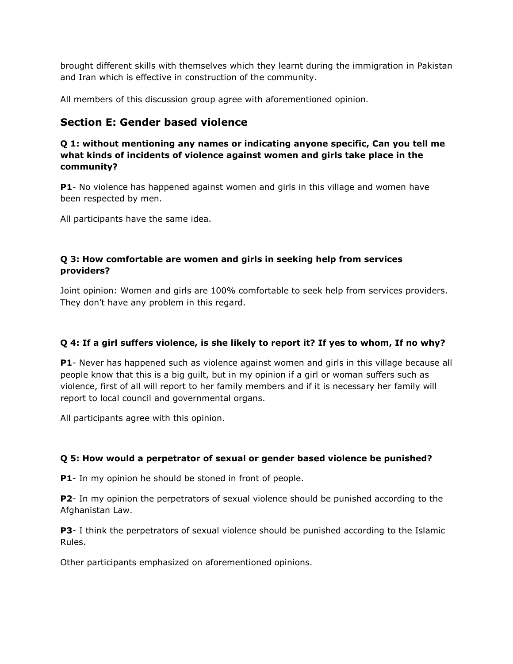brought different skills with themselves which they learnt during the immigration in Pakistan and Iran which is effective in construction of the community.

All members of this discussion group agree with aforementioned opinion.

# **Section E: Gender based violence**

## **Q 1: without mentioning any names or indicating anyone specific, Can you tell me what kinds of incidents of violence against women and girls take place in the community?**

**P1**- No violence has happened against women and girls in this village and women have been respected by men.

All participants have the same idea.

# **Q 3: How comfortable are women and girls in seeking help from services providers?**

Joint opinion: Women and girls are 100% comfortable to seek help from services providers. They don't have any problem in this regard.

# **Q 4: If a girl suffers violence, is she likely to report it? If yes to whom, If no why?**

**P1**- Never has happened such as violence against women and girls in this village because all people know that this is a big guilt, but in my opinion if a girl or woman suffers such as violence, first of all will report to her family members and if it is necessary her family will report to local council and governmental organs.

All participants agree with this opinion.

# **Q 5: How would a perpetrator of sexual or gender based violence be punished?**

**P1**- In my opinion he should be stoned in front of people.

**P2**- In my opinion the perpetrators of sexual violence should be punished according to the Afghanistan Law.

**P3**- I think the perpetrators of sexual violence should be punished according to the Islamic Rules.

Other participants emphasized on aforementioned opinions.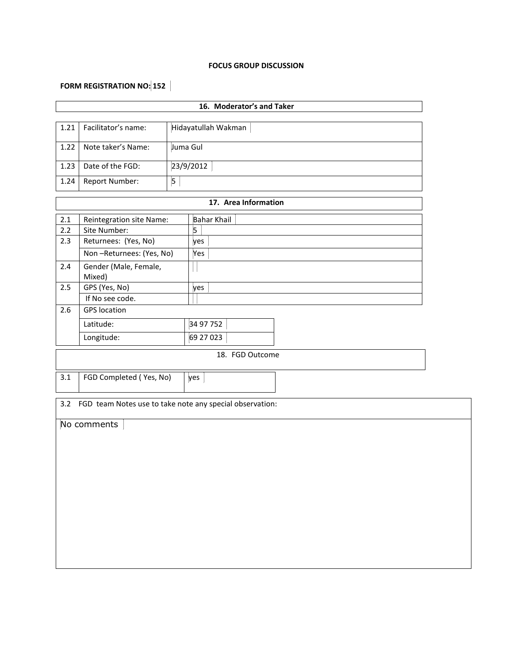#### **FOCUS GROUP DISCUSSION**

# **FORM REGISTRATION NO: 152**

| 16. Moderator's and Taker |                                 |   |                                                          |  |  |  |  |  |  |
|---------------------------|---------------------------------|---|----------------------------------------------------------|--|--|--|--|--|--|
| 1.21                      | Facilitator's name:             |   | Hidayatullah Wakman                                      |  |  |  |  |  |  |
| 1.22                      | Note taker's Name:              |   | Juma Gul                                                 |  |  |  |  |  |  |
| 1.23                      | Date of the FGD:                |   | 23/9/2012                                                |  |  |  |  |  |  |
| 1.24                      | Report Number:                  | 5 |                                                          |  |  |  |  |  |  |
|                           |                                 |   | 17. Area Information                                     |  |  |  |  |  |  |
| 2.1                       | Reintegration site Name:        |   | <b>Bahar Khail</b>                                       |  |  |  |  |  |  |
| 2.2                       | Site Number:                    |   | 5                                                        |  |  |  |  |  |  |
| 2.3                       | Returnees: (Yes, No)            |   | yes                                                      |  |  |  |  |  |  |
|                           | Non-Returnees: (Yes, No)        |   | Yes                                                      |  |  |  |  |  |  |
| 2.4                       | Gender (Male, Female,<br>Mixed) |   |                                                          |  |  |  |  |  |  |
| 2.5                       | GPS (Yes, No)                   |   | yes                                                      |  |  |  |  |  |  |
|                           | If No see code.                 |   |                                                          |  |  |  |  |  |  |
| 2.6                       | <b>GPS</b> location             |   |                                                          |  |  |  |  |  |  |
|                           | Latitude:                       |   | 34 97 752                                                |  |  |  |  |  |  |
|                           | Longitude:                      |   | 69 27 0 23                                               |  |  |  |  |  |  |
|                           |                                 |   | 18. FGD Outcome                                          |  |  |  |  |  |  |
| 3.1                       | FGD Completed (Yes, No)         |   | yes                                                      |  |  |  |  |  |  |
| 3.2                       |                                 |   | FGD team Notes use to take note any special observation: |  |  |  |  |  |  |
|                           | No comments                     |   |                                                          |  |  |  |  |  |  |
|                           |                                 |   |                                                          |  |  |  |  |  |  |
|                           |                                 |   |                                                          |  |  |  |  |  |  |
|                           |                                 |   |                                                          |  |  |  |  |  |  |
|                           |                                 |   |                                                          |  |  |  |  |  |  |
|                           |                                 |   |                                                          |  |  |  |  |  |  |
|                           |                                 |   |                                                          |  |  |  |  |  |  |
|                           |                                 |   |                                                          |  |  |  |  |  |  |
|                           |                                 |   |                                                          |  |  |  |  |  |  |
|                           |                                 |   |                                                          |  |  |  |  |  |  |
|                           |                                 |   |                                                          |  |  |  |  |  |  |
|                           |                                 |   |                                                          |  |  |  |  |  |  |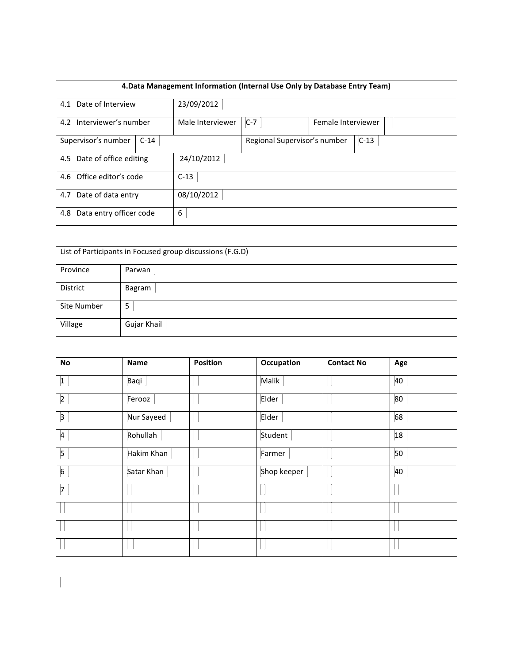|                                      |        | 4. Data Management Information (Internal Use Only by Database Entry Team) |                              |                    |        |  |  |  |
|--------------------------------------|--------|---------------------------------------------------------------------------|------------------------------|--------------------|--------|--|--|--|
| 4.1 Date of Interview                |        | 23/09/2012                                                                |                              |                    |        |  |  |  |
| 4.2 Interviewer's number             |        | Male Interviewer                                                          | $C-7$                        | Female Interviewer |        |  |  |  |
| Supervisor's number                  | $C-14$ |                                                                           | Regional Supervisor's number |                    | $C-13$ |  |  |  |
| 4.5 Date of office editing           |        | 24/10/2012                                                                |                              |                    |        |  |  |  |
| 4.6 Office editor's code<br>$C-13$   |        |                                                                           |                              |                    |        |  |  |  |
| 08/10/2012<br>4.7 Date of data entry |        |                                                                           |                              |                    |        |  |  |  |
| Data entry officer code<br>4.8       |        | 6                                                                         |                              |                    |        |  |  |  |

| List of Participants in Focused group discussions (F.G.D) |             |  |  |  |  |
|-----------------------------------------------------------|-------------|--|--|--|--|
| Province                                                  | Parwan      |  |  |  |  |
| District                                                  | Bagram      |  |  |  |  |
| Site Number                                               | 5           |  |  |  |  |
| Village                                                   | Gujar Khail |  |  |  |  |

| No              | Name       | <b>Position</b> | Occupation  | <b>Contact No</b> | Age |
|-----------------|------------|-----------------|-------------|-------------------|-----|
| $\vert$ 1       | Baqi       |                 | Malik       |                   | 40  |
| $\vert$ 2       | Ferooz     |                 | Elder       |                   | 80  |
| 3               | Nur Sayeed |                 | Elder       |                   | 68  |
| $\overline{a}$  | Rohullah   |                 | Student     |                   | 18  |
| $\vert 5 \vert$ | Hakim Khan |                 | Farmer      |                   | 50  |
| $6^{\circ}$     | Satar Khan |                 | Shop keeper |                   | 40  |
| 7               |            |                 |             |                   |     |
|                 |            |                 |             |                   |     |
|                 |            |                 |             |                   |     |
|                 |            |                 |             |                   |     |

 $\overline{\phantom{a}}$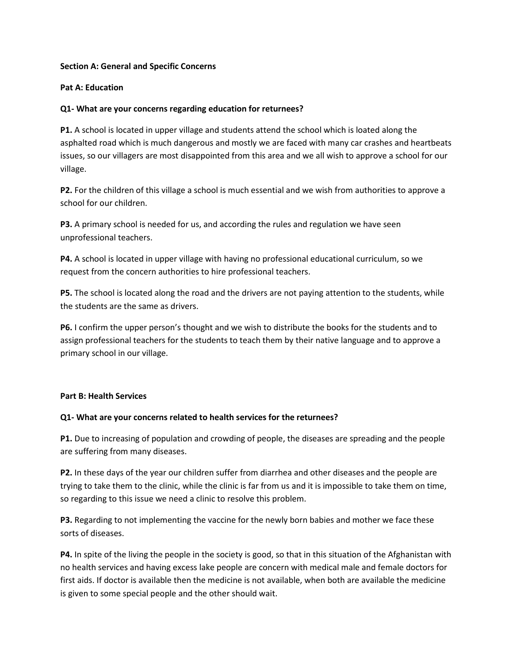#### **Section A: General and Specific Concerns**

#### **Pat A: Education**

#### **Q1- What are your concerns regarding education for returnees?**

**P1.** A school is located in upper village and students attend the school which is loated along the asphalted road which is much dangerous and mostly we are faced with many car crashes and heartbeats issues, so our villagers are most disappointed from this area and we all wish to approve a school for our village.

**P2.** For the children of this village a school is much essential and we wish from authorities to approve a school for our children.

**P3.** A primary school is needed for us, and according the rules and regulation we have seen unprofessional teachers.

**P4.** A school is located in upper village with having no professional educational curriculum, so we request from the concern authorities to hire professional teachers.

**P5.** The school is located along the road and the drivers are not paying attention to the students, while the students are the same as drivers.

**P6.** I confirm the upper person's thought and we wish to distribute the books for the students and to assign professional teachers for the students to teach them by their native language and to approve a primary school in our village.

#### **Part B: Health Services**

#### **Q1- What are your concerns related to health services for the returnees?**

**P1.** Due to increasing of population and crowding of people, the diseases are spreading and the people are suffering from many diseases.

**P2.** In these days of the year our children suffer from diarrhea and other diseases and the people are trying to take them to the clinic, while the clinic is far from us and it is impossible to take them on time, so regarding to this issue we need a clinic to resolve this problem.

**P3.** Regarding to not implementing the vaccine for the newly born babies and mother we face these sorts of diseases.

**P4.** In spite of the living the people in the society is good, so that in this situation of the Afghanistan with no health services and having excess lake people are concern with medical male and female doctors for first aids. If doctor is available then the medicine is not available, when both are available the medicine is given to some special people and the other should wait.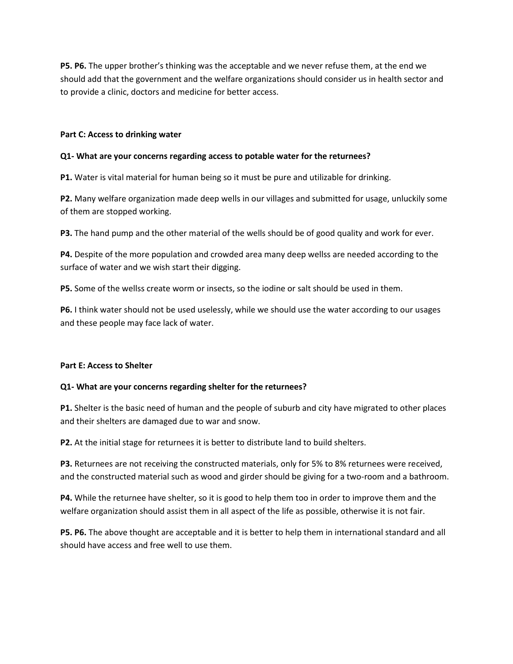**P5. P6.** The upper brother's thinking was the acceptable and we never refuse them, at the end we should add that the government and the welfare organizations should consider us in health sector and to provide a clinic, doctors and medicine for better access.

#### **Part C: Access to drinking water**

#### **Q1- What are your concerns regarding access to potable water for the returnees?**

**P1.** Water is vital material for human being so it must be pure and utilizable for drinking.

**P2.** Many welfare organization made deep wells in our villages and submitted for usage, unluckily some of them are stopped working.

**P3.** The hand pump and the other material of the wells should be of good quality and work for ever.

**P4.** Despite of the more population and crowded area many deep wellss are needed according to the surface of water and we wish start their digging.

**P5.** Some of the wellss create worm or insects, so the iodine or salt should be used in them.

**P6.** I think water should not be used uselessly, while we should use the water according to our usages and these people may face lack of water.

#### **Part E: Access to Shelter**

#### **Q1- What are your concerns regarding shelter for the returnees?**

**P1.** Shelter is the basic need of human and the people of suburb and city have migrated to other places and their shelters are damaged due to war and snow.

**P2.** At the initial stage for returnees it is better to distribute land to build shelters.

**P3.** Returnees are not receiving the constructed materials, only for 5% to 8% returnees were received, and the constructed material such as wood and girder should be giving for a two-room and a bathroom.

**P4.** While the returnee have shelter, so it is good to help them too in order to improve them and the welfare organization should assist them in all aspect of the life as possible, otherwise it is not fair.

**P5. P6.** The above thought are acceptable and it is better to help them in international standard and all should have access and free well to use them.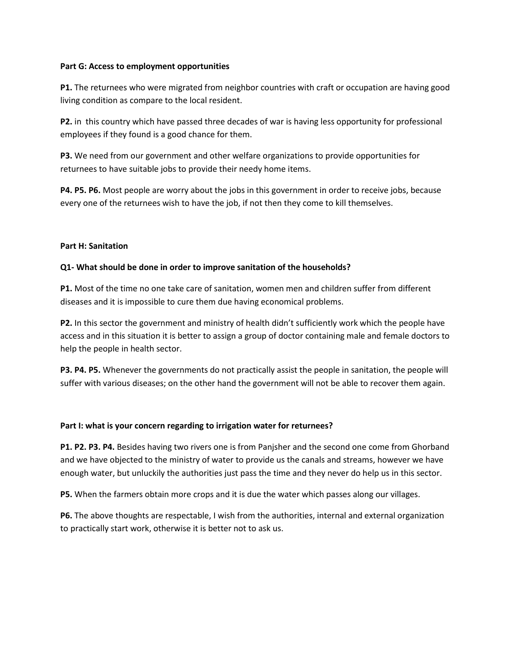#### **Part G: Access to employment opportunities**

**P1.** The returnees who were migrated from neighbor countries with craft or occupation are having good living condition as compare to the local resident.

**P2.** in this country which have passed three decades of war is having less opportunity for professional employees if they found is a good chance for them.

**P3.** We need from our government and other welfare organizations to provide opportunities for returnees to have suitable jobs to provide their needy home items.

**P4. P5. P6.** Most people are worry about the jobs in this government in order to receive jobs, because every one of the returnees wish to have the job, if not then they come to kill themselves.

#### **Part H: Sanitation**

#### **Q1- What should be done in order to improve sanitation of the households?**

**P1.** Most of the time no one take care of sanitation, women men and children suffer from different diseases and it is impossible to cure them due having economical problems.

**P2.** In this sector the government and ministry of health didn't sufficiently work which the people have access and in this situation it is better to assign a group of doctor containing male and female doctors to help the people in health sector.

**P3. P4. P5.** Whenever the governments do not practically assist the people in sanitation, the people will suffer with various diseases; on the other hand the government will not be able to recover them again.

#### **Part I: what is your concern regarding to irrigation water for returnees?**

**P1. P2. P3. P4.** Besides having two rivers one is from Panjsher and the second one come from Ghorband and we have objected to the ministry of water to provide us the canals and streams, however we have enough water, but unluckily the authorities just pass the time and they never do help us in this sector.

**P5.** When the farmers obtain more crops and it is due the water which passes along our villages.

**P6.** The above thoughts are respectable, I wish from the authorities, internal and external organization to practically start work, otherwise it is better not to ask us.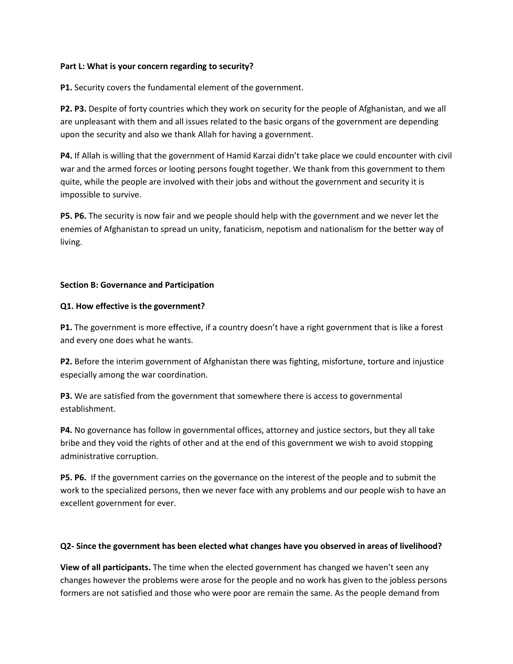#### **Part L: What is your concern regarding to security?**

**P1.** Security covers the fundamental element of the government.

**P2. P3.** Despite of forty countries which they work on security for the people of Afghanistan, and we all are unpleasant with them and all issues related to the basic organs of the government are depending upon the security and also we thank Allah for having a government.

**P4.** If Allah is willing that the government of Hamid Karzai didn't take place we could encounter with civil war and the armed forces or looting persons fought together. We thank from this government to them quite, while the people are involved with their jobs and without the government and security it is impossible to survive.

**P5. P6.** The security is now fair and we people should help with the government and we never let the enemies of Afghanistan to spread un unity, fanaticism, nepotism and nationalism for the better way of living.

#### **Section B: Governance and Participation**

#### **Q1. How effective is the government?**

**P1.** The government is more effective, if a country doesn't have a right government that is like a forest and every one does what he wants.

**P2.** Before the interim government of Afghanistan there was fighting, misfortune, torture and injustice especially among the war coordination.

**P3.** We are satisfied from the government that somewhere there is access to governmental establishment.

**P4.** No governance has follow in governmental offices, attorney and justice sectors, but they all take bribe and they void the rights of other and at the end of this government we wish to avoid stopping administrative corruption.

**P5. P6.** If the government carries on the governance on the interest of the people and to submit the work to the specialized persons, then we never face with any problems and our people wish to have an excellent government for ever.

#### **Q2- Since the government has been elected what changes have you observed in areas of livelihood?**

**View of all participants.** The time when the elected government has changed we haven't seen any changes however the problems were arose for the people and no work has given to the jobless persons formers are not satisfied and those who were poor are remain the same. As the people demand from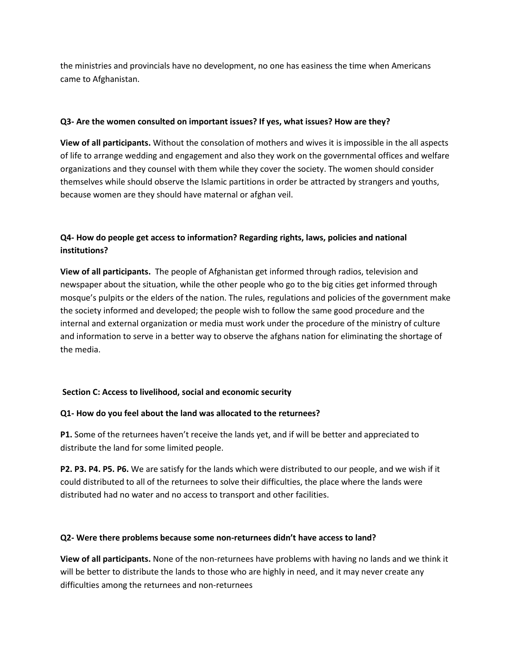the ministries and provincials have no development, no one has easiness the time when Americans came to Afghanistan.

#### **Q3- Are the women consulted on important issues? If yes, what issues? How are they?**

**View of all participants.** Without the consolation of mothers and wives it is impossible in the all aspects of life to arrange wedding and engagement and also they work on the governmental offices and welfare organizations and they counsel with them while they cover the society. The women should consider themselves while should observe the Islamic partitions in order be attracted by strangers and youths, because women are they should have maternal or afghan veil.

# **Q4- How do people get access to information? Regarding rights, laws, policies and national institutions?**

**View of all participants.** The people of Afghanistan get informed through radios, television and newspaper about the situation, while the other people who go to the big cities get informed through mosque's pulpits or the elders of the nation. The rules, regulations and policies of the government make the society informed and developed; the people wish to follow the same good procedure and the internal and external organization or media must work under the procedure of the ministry of culture and information to serve in a better way to observe the afghans nation for eliminating the shortage of the media.

## **Section C: Access to livelihood, social and economic security**

## **Q1- How do you feel about the land was allocated to the returnees?**

**P1.** Some of the returnees haven't receive the lands yet, and if will be better and appreciated to distribute the land for some limited people.

**P2. P3. P4. P5. P6.** We are satisfy for the lands which were distributed to our people, and we wish if it could distributed to all of the returnees to solve their difficulties, the place where the lands were distributed had no water and no access to transport and other facilities.

#### **Q2- Were there problems because some non-returnees didn't have access to land?**

**View of all participants.** None of the non-returnees have problems with having no lands and we think it will be better to distribute the lands to those who are highly in need, and it may never create any difficulties among the returnees and non-returnees